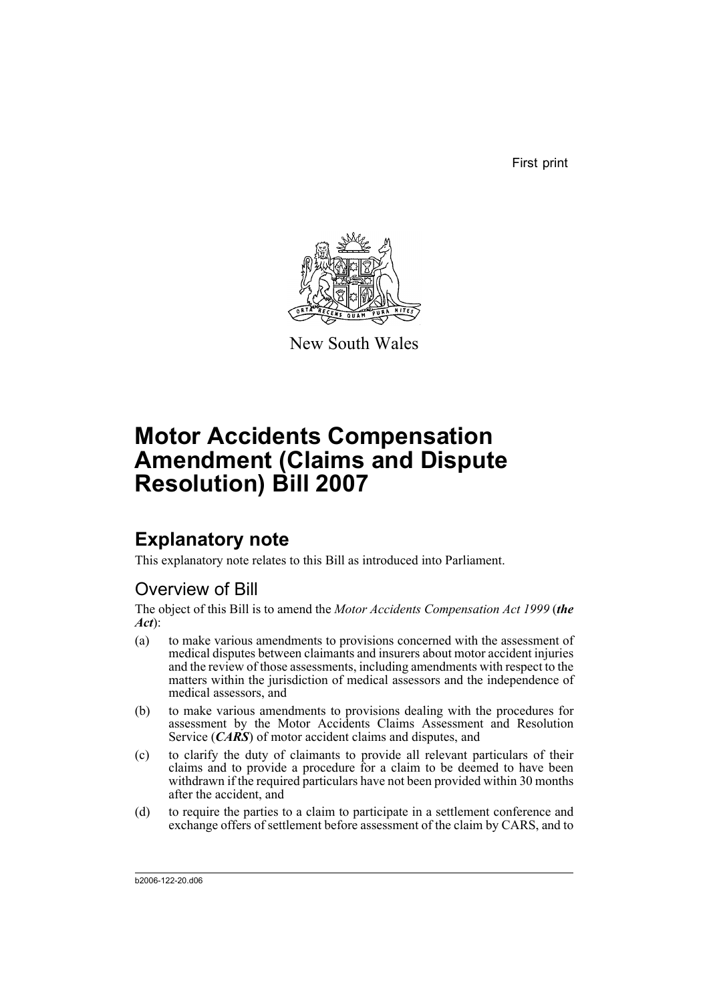First print



New South Wales

# **Motor Accidents Compensation Amendment (Claims and Dispute Resolution) Bill 2007**

# **Explanatory note**

This explanatory note relates to this Bill as introduced into Parliament.

## Overview of Bill

The object of this Bill is to amend the *Motor Accidents Compensation Act 1999* (*the Act*):

- (a) to make various amendments to provisions concerned with the assessment of medical disputes between claimants and insurers about motor accident injuries and the review of those assessments, including amendments with respect to the matters within the jurisdiction of medical assessors and the independence of medical assessors, and
- (b) to make various amendments to provisions dealing with the procedures for assessment by the Motor Accidents Claims Assessment and Resolution Service (*CARS*) of motor accident claims and disputes, and
- (c) to clarify the duty of claimants to provide all relevant particulars of their claims and to provide a procedure for a claim to be deemed to have been withdrawn if the required particulars have not been provided within 30 months after the accident, and
- (d) to require the parties to a claim to participate in a settlement conference and exchange offers of settlement before assessment of the claim by CARS, and to

b2006-122-20.d06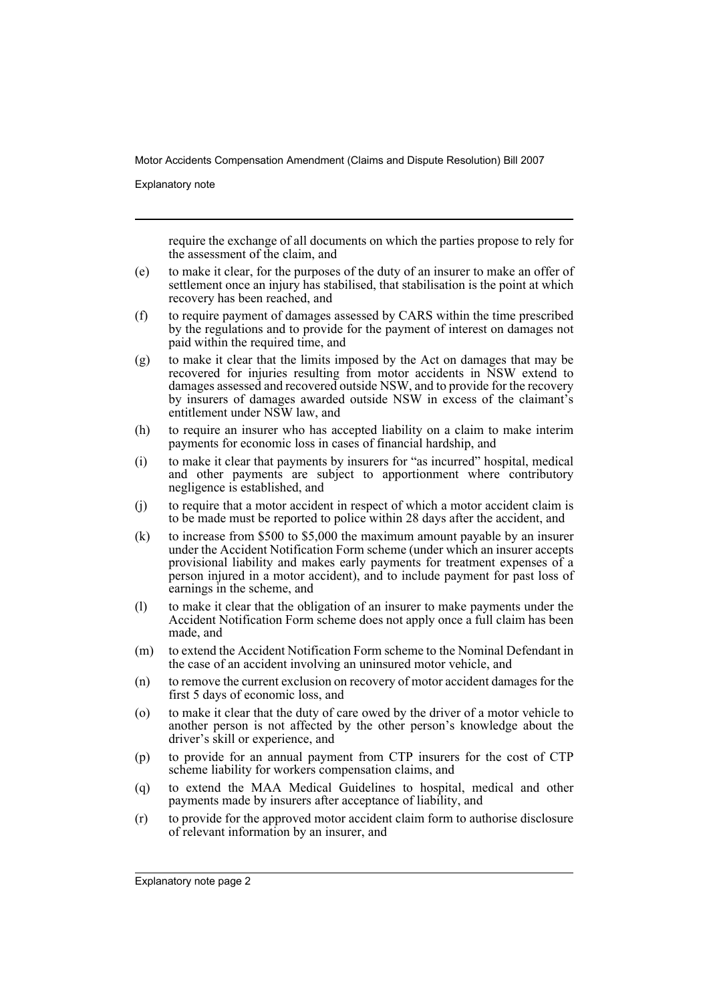Explanatory note

require the exchange of all documents on which the parties propose to rely for the assessment of the claim, and

- (e) to make it clear, for the purposes of the duty of an insurer to make an offer of settlement once an injury has stabilised, that stabilisation is the point at which recovery has been reached, and
- (f) to require payment of damages assessed by CARS within the time prescribed by the regulations and to provide for the payment of interest on damages not paid within the required time, and
- (g) to make it clear that the limits imposed by the Act on damages that may be recovered for injuries resulting from motor accidents in NSW extend to damages assessed and recovered outside NSW, and to provide for the recovery by insurers of damages awarded outside NSW in excess of the claimant's entitlement under NSW law, and
- (h) to require an insurer who has accepted liability on a claim to make interim payments for economic loss in cases of financial hardship, and
- (i) to make it clear that payments by insurers for "as incurred" hospital, medical and other payments are subject to apportionment where contributory negligence is established, and
- (j) to require that a motor accident in respect of which a motor accident claim is to be made must be reported to police within 28 days after the accident, and
- (k) to increase from \$500 to \$5,000 the maximum amount payable by an insurer under the Accident Notification Form scheme (under which an insurer accepts provisional liability and makes early payments for treatment expenses of a person injured in a motor accident), and to include payment for past loss of earnings in the scheme, and
- (l) to make it clear that the obligation of an insurer to make payments under the Accident Notification Form scheme does not apply once a full claim has been made, and
- (m) to extend the Accident Notification Form scheme to the Nominal Defendant in the case of an accident involving an uninsured motor vehicle, and
- (n) to remove the current exclusion on recovery of motor accident damages for the first 5 days of economic loss, and
- (o) to make it clear that the duty of care owed by the driver of a motor vehicle to another person is not affected by the other person's knowledge about the driver's skill or experience, and
- (p) to provide for an annual payment from CTP insurers for the cost of CTP scheme liability for workers compensation claims, and
- (q) to extend the MAA Medical Guidelines to hospital, medical and other payments made by insurers after acceptance of liability, and
- (r) to provide for the approved motor accident claim form to authorise disclosure of relevant information by an insurer, and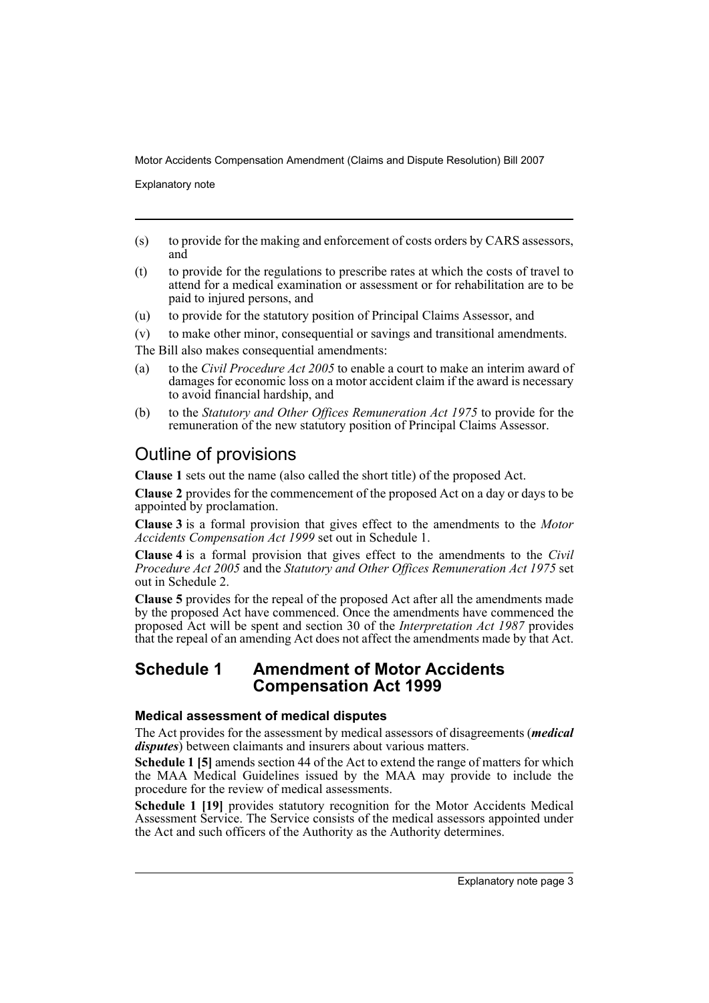Explanatory note

- (s) to provide for the making and enforcement of costs orders by CARS assessors, and
- (t) to provide for the regulations to prescribe rates at which the costs of travel to attend for a medical examination or assessment or for rehabilitation are to be paid to injured persons, and
- (u) to provide for the statutory position of Principal Claims Assessor, and
- (v) to make other minor, consequential or savings and transitional amendments.
- The Bill also makes consequential amendments:
- (a) to the *Civil Procedure Act 2005* to enable a court to make an interim award of damages for economic loss on a motor accident claim if the award is necessary to avoid financial hardship, and
- (b) to the *Statutory and Other Offices Remuneration Act 1975* to provide for the remuneration of the new statutory position of Principal Claims Assessor.

## Outline of provisions

**Clause 1** sets out the name (also called the short title) of the proposed Act.

**Clause 2** provides for the commencement of the proposed Act on a day or days to be appointed by proclamation.

**Clause 3** is a formal provision that gives effect to the amendments to the *Motor Accidents Compensation Act 1999* set out in Schedule 1.

**Clause 4** is a formal provision that gives effect to the amendments to the *Civil Procedure Act 2005* and the *Statutory and Other Offices Remuneration Act 1975* set out in Schedule 2.

**Clause 5** provides for the repeal of the proposed Act after all the amendments made by the proposed Act have commenced. Once the amendments have commenced the proposed Act will be spent and section 30 of the *Interpretation Act 1987* provides that the repeal of an amending Act does not affect the amendments made by that Act.

### **Schedule 1 Amendment of Motor Accidents Compensation Act 1999**

### **Medical assessment of medical disputes**

The Act provides for the assessment by medical assessors of disagreements (*medical disputes*) between claimants and insurers about various matters.

**Schedule 1 [5]** amends section 44 of the Act to extend the range of matters for which the MAA Medical Guidelines issued by the MAA may provide to include the procedure for the review of medical assessments.

**Schedule 1 [19]** provides statutory recognition for the Motor Accidents Medical Assessment Service. The Service consists of the medical assessors appointed under the Act and such officers of the Authority as the Authority determines.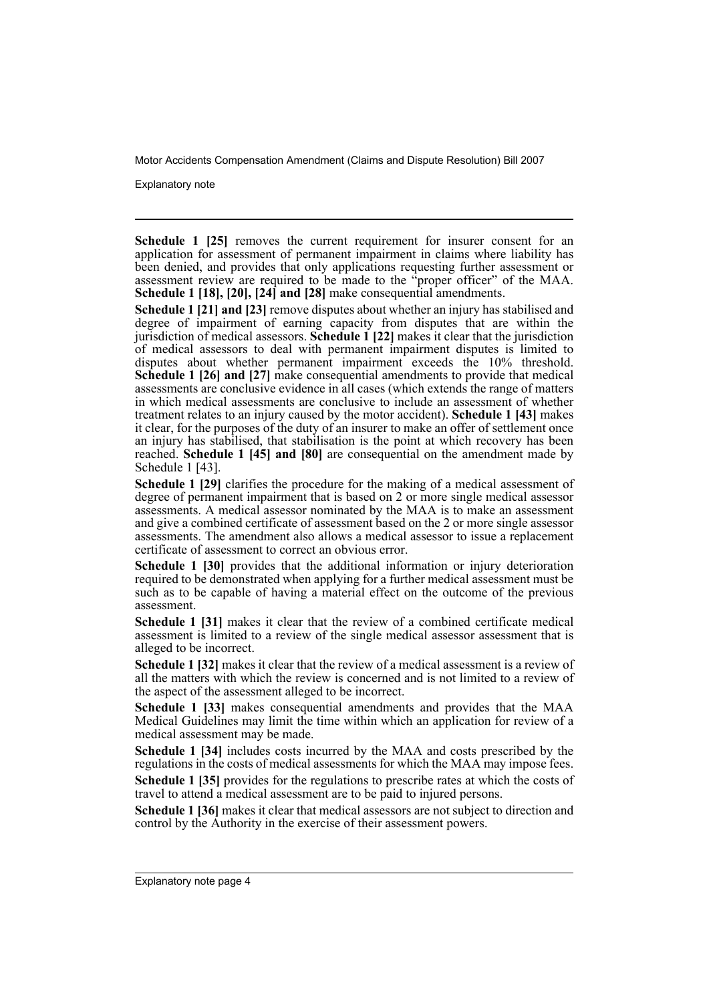Explanatory note

**Schedule 1 [25]** removes the current requirement for insurer consent for an application for assessment of permanent impairment in claims where liability has been denied, and provides that only applications requesting further assessment or assessment review are required to be made to the "proper officer" of the MAA. **Schedule 1 [18], [20], [24] and [28]** make consequential amendments.

**Schedule 1 [21] and [23]** remove disputes about whether an injury has stabilised and degree of impairment of earning capacity from disputes that are within the jurisdiction of medical assessors. **Schedule 1 [22]** makes it clear that the jurisdiction of medical assessors to deal with permanent impairment disputes is limited to disputes about whether permanent impairment exceeds the 10% threshold. **Schedule 1 [26] and [27]** make consequential amendments to provide that medical assessments are conclusive evidence in all cases (which extends the range of matters in which medical assessments are conclusive to include an assessment of whether treatment relates to an injury caused by the motor accident). **Schedule 1 [43]** makes it clear, for the purposes of the duty of an insurer to make an offer of settlement once an injury has stabilised, that stabilisation is the point at which recovery has been reached. **Schedule 1 [45] and [80]** are consequential on the amendment made by Schedule 1 [43].

**Schedule 1 [29]** clarifies the procedure for the making of a medical assessment of degree of permanent impairment that is based on 2 or more single medical assessor assessments. A medical assessor nominated by the MAA is to make an assessment and give a combined certificate of assessment based on the 2 or more single assessor assessments. The amendment also allows a medical assessor to issue a replacement certificate of assessment to correct an obvious error.

**Schedule 1 [30]** provides that the additional information or injury deterioration required to be demonstrated when applying for a further medical assessment must be such as to be capable of having a material effect on the outcome of the previous assessment.

**Schedule 1 [31]** makes it clear that the review of a combined certificate medical assessment is limited to a review of the single medical assessor assessment that is alleged to be incorrect.

**Schedule 1 [32]** makes it clear that the review of a medical assessment is a review of all the matters with which the review is concerned and is not limited to a review of the aspect of the assessment alleged to be incorrect.

**Schedule 1 [33]** makes consequential amendments and provides that the MAA Medical Guidelines may limit the time within which an application for review of a medical assessment may be made.

**Schedule 1 [34]** includes costs incurred by the MAA and costs prescribed by the regulations in the costs of medical assessments for which the MAA may impose fees.

**Schedule 1 [35]** provides for the regulations to prescribe rates at which the costs of travel to attend a medical assessment are to be paid to injured persons.

**Schedule 1 [36]** makes it clear that medical assessors are not subject to direction and control by the Authority in the exercise of their assessment powers.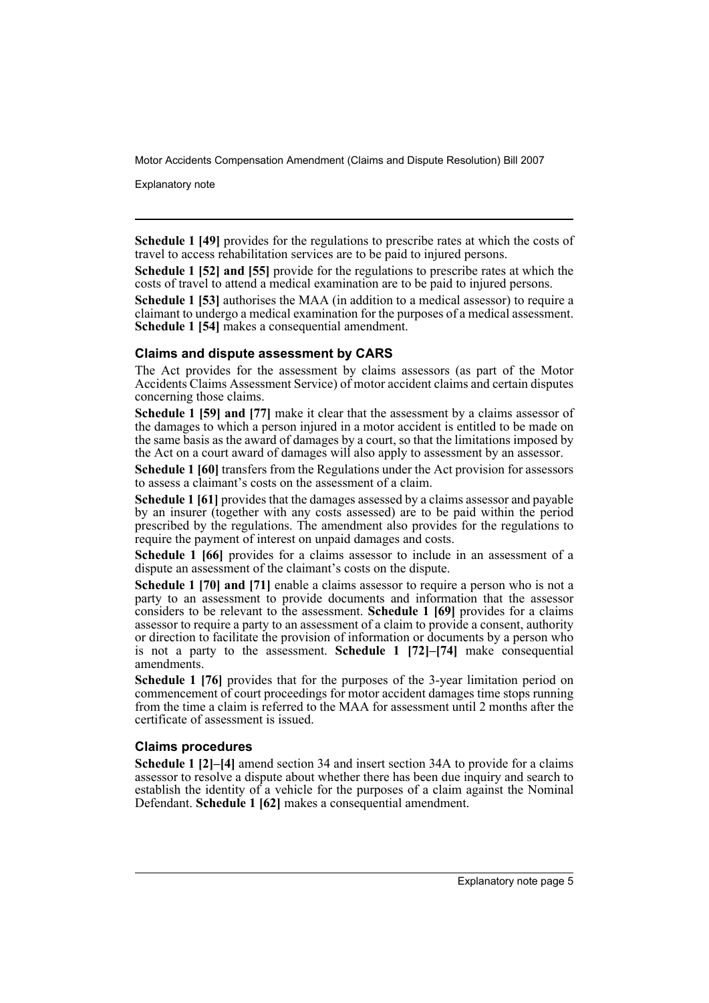Explanatory note

**Schedule 1 [49]** provides for the regulations to prescribe rates at which the costs of travel to access rehabilitation services are to be paid to injured persons.

**Schedule 1 [52] and [55]** provide for the regulations to prescribe rates at which the costs of travel to attend a medical examination are to be paid to injured persons.

**Schedule 1 [53]** authorises the MAA (in addition to a medical assessor) to require a claimant to undergo a medical examination for the purposes of a medical assessment. **Schedule 1 [54]** makes a consequential amendment.

#### **Claims and dispute assessment by CARS**

The Act provides for the assessment by claims assessors (as part of the Motor Accidents Claims Assessment Service) of motor accident claims and certain disputes concerning those claims.

**Schedule 1 [59] and [77]** make it clear that the assessment by a claims assessor of the damages to which a person injured in a motor accident is entitled to be made on the same basis as the award of damages by a court, so that the limitations imposed by the Act on a court award of damages will also apply to assessment by an assessor.

**Schedule 1 [60]** transfers from the Regulations under the Act provision for assessors to assess a claimant's costs on the assessment of a claim.

**Schedule 1 [61]** provides that the damages assessed by a claims assessor and payable by an insurer (together with any costs assessed) are to be paid within the period prescribed by the regulations. The amendment also provides for the regulations to require the payment of interest on unpaid damages and costs.

Schedule 1 [66] provides for a claims assessor to include in an assessment of a dispute an assessment of the claimant's costs on the dispute.

**Schedule 1 [70] and [71]** enable a claims assessor to require a person who is not a party to an assessment to provide documents and information that the assessor considers to be relevant to the assessment. **Schedule 1 [69]** provides for a claims assessor to require a party to an assessment of a claim to provide a consent, authority or direction to facilitate the provision of information or documents by a person who is not a party to the assessment. **Schedule 1 [72]–[74]** make consequential amendments.

**Schedule 1 [76]** provides that for the purposes of the 3-year limitation period on commencement of court proceedings for motor accident damages time stops running from the time a claim is referred to the MAA for assessment until 2 months after the certificate of assessment is issued.

#### **Claims procedures**

**Schedule 1 [2]–[4]** amend section 34 and insert section 34A to provide for a claims assessor to resolve a dispute about whether there has been due inquiry and search to establish the identity of a vehicle for the purposes of a claim against the Nominal Defendant. **Schedule 1 [62]** makes a consequential amendment.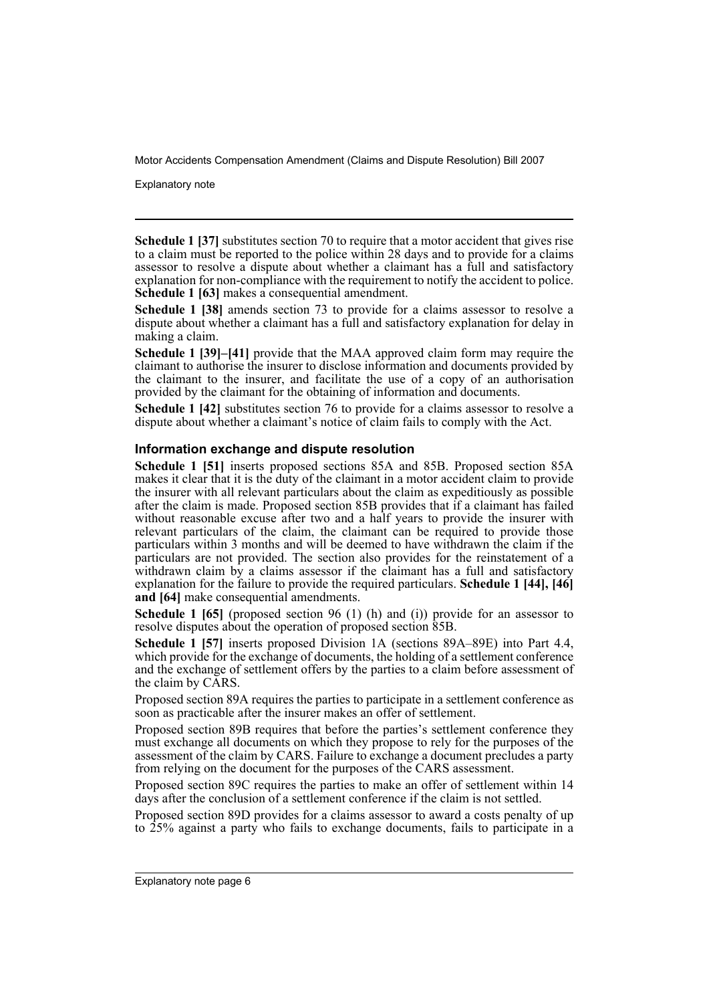Explanatory note

**Schedule 1 [37]** substitutes section 70 to require that a motor accident that gives rise to a claim must be reported to the police within 28 days and to provide for a claims assessor to resolve a dispute about whether a claimant has a full and satisfactory explanation for non-compliance with the requirement to notify the accident to police. **Schedule 1 [63]** makes a consequential amendment.

**Schedule 1 [38]** amends section 73 to provide for a claims assessor to resolve a dispute about whether a claimant has a full and satisfactory explanation for delay in making a claim.

**Schedule 1 [39]–[41]** provide that the MAA approved claim form may require the claimant to authorise the insurer to disclose information and documents provided by the claimant to the insurer, and facilitate the use of a copy of an authorisation provided by the claimant for the obtaining of information and documents.

**Schedule 1 [42]** substitutes section 76 to provide for a claims assessor to resolve a dispute about whether a claimant's notice of claim fails to comply with the Act.

#### **Information exchange and dispute resolution**

**Schedule 1 [51]** inserts proposed sections 85A and 85B. Proposed section 85A makes it clear that it is the duty of the claimant in a motor accident claim to provide the insurer with all relevant particulars about the claim as expeditiously as possible after the claim is made. Proposed section 85B provides that if a claimant has failed without reasonable excuse after two and a half years to provide the insurer with relevant particulars of the claim, the claimant can be required to provide those particulars within 3 months and will be deemed to have withdrawn the claim if the particulars are not provided. The section also provides for the reinstatement of a withdrawn claim by a claims assessor if the claimant has a full and satisfactory explanation for the failure to provide the required particulars. **Schedule 1 [44], [46] and [64]** make consequential amendments.

**Schedule 1 [65]** (proposed section 96 (1) (h) and (i)) provide for an assessor to resolve disputes about the operation of proposed section 85B.

**Schedule 1 [57]** inserts proposed Division 1A (sections 89A–89E) into Part 4.4, which provide for the exchange of documents, the holding of a settlement conference and the exchange of settlement offers by the parties to a claim before assessment of the claim by CARS.

Proposed section 89A requires the parties to participate in a settlement conference as soon as practicable after the insurer makes an offer of settlement.

Proposed section 89B requires that before the parties's settlement conference they must exchange all documents on which they propose to rely for the purposes of the assessment of the claim by CARS. Failure to exchange a document precludes a party from relying on the document for the purposes of the CARS assessment.

Proposed section 89C requires the parties to make an offer of settlement within 14 days after the conclusion of a settlement conference if the claim is not settled.

Proposed section 89D provides for a claims assessor to award a costs penalty of up to 25% against a party who fails to exchange documents, fails to participate in a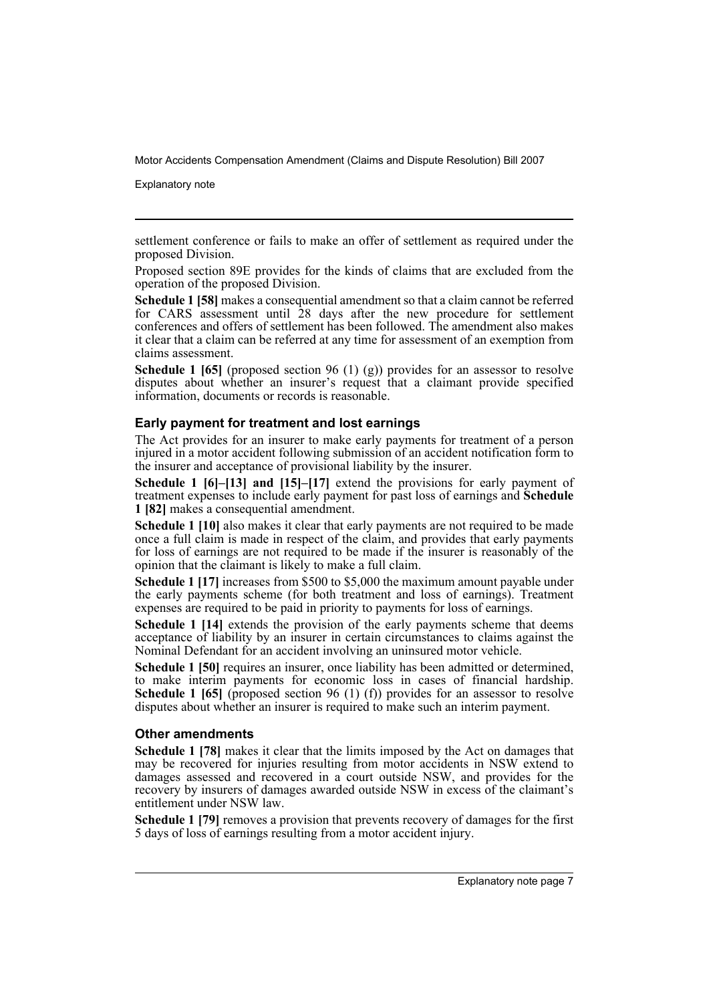Explanatory note

settlement conference or fails to make an offer of settlement as required under the proposed Division.

Proposed section 89E provides for the kinds of claims that are excluded from the operation of the proposed Division.

**Schedule 1 [58]** makes a consequential amendment so that a claim cannot be referred for CARS assessment until 28 days after the new procedure for settlement conferences and offers of settlement has been followed. The amendment also makes it clear that a claim can be referred at any time for assessment of an exemption from claims assessment.

**Schedule 1 [65]** (proposed section 96 (1) (g)) provides for an assessor to resolve disputes about whether an insurer's request that a claimant provide specified information, documents or records is reasonable.

#### **Early payment for treatment and lost earnings**

The Act provides for an insurer to make early payments for treatment of a person injured in a motor accident following submission of an accident notification form to the insurer and acceptance of provisional liability by the insurer.

**Schedule 1 [6]–[13] and [15]–[17]** extend the provisions for early payment of treatment expenses to include early payment for past loss of earnings and **Schedule 1 [82]** makes a consequential amendment.

**Schedule 1 [10]** also makes it clear that early payments are not required to be made once a full claim is made in respect of the claim, and provides that early payments for loss of earnings are not required to be made if the insurer is reasonably of the opinion that the claimant is likely to make a full claim.

**Schedule 1 [17]** increases from \$500 to \$5,000 the maximum amount payable under the early payments scheme (for both treatment and loss of earnings). Treatment expenses are required to be paid in priority to payments for loss of earnings.

**Schedule 1 [14]** extends the provision of the early payments scheme that deems acceptance of liability by an insurer in certain circumstances to claims against the Nominal Defendant for an accident involving an uninsured motor vehicle.

**Schedule 1 [50]** requires an insurer, once liability has been admitted or determined, to make interim payments for economic loss in cases of financial hardship. **Schedule 1 [65]** (proposed section 96 (1) (f)) provides for an assessor to resolve disputes about whether an insurer is required to make such an interim payment.

#### **Other amendments**

**Schedule 1 [78]** makes it clear that the limits imposed by the Act on damages that may be recovered for injuries resulting from motor accidents in NSW extend to damages assessed and recovered in a court outside NSW, and provides for the recovery by insurers of damages awarded outside NSW in excess of the claimant's entitlement under NSW law.

**Schedule 1 [79]** removes a provision that prevents recovery of damages for the first 5 days of loss of earnings resulting from a motor accident injury.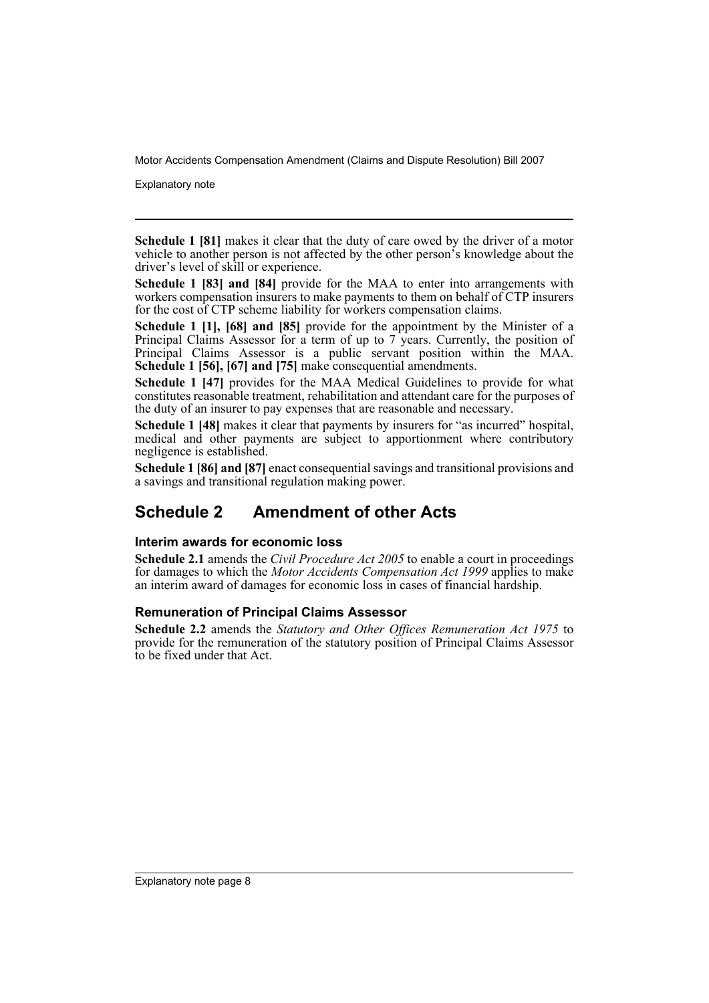Explanatory note

**Schedule 1 [81]** makes it clear that the duty of care owed by the driver of a motor vehicle to another person is not affected by the other person's knowledge about the driver's level of skill or experience.

**Schedule 1 [83] and [84]** provide for the MAA to enter into arrangements with workers compensation insurers to make payments to them on behalf of CTP insurers for the cost of CTP scheme liability for workers compensation claims.

**Schedule 1 [1], [68] and [85]** provide for the appointment by the Minister of a Principal Claims Assessor for a term of up to 7 years. Currently, the position of Principal Claims Assessor is a public servant position within the MAA. **Schedule 1 [56], [67] and [75]** make consequential amendments.

**Schedule 1 [47]** provides for the MAA Medical Guidelines to provide for what constitutes reasonable treatment, rehabilitation and attendant care for the purposes of the duty of an insurer to pay expenses that are reasonable and necessary.

**Schedule 1 [48]** makes it clear that payments by insurers for "as incurred" hospital, medical and other payments are subject to apportionment where contributory negligence is established.

**Schedule 1 [86] and [87]** enact consequential savings and transitional provisions and a savings and transitional regulation making power.

## **Schedule 2 Amendment of other Acts**

### **Interim awards for economic loss**

**Schedule 2.1** amends the *Civil Procedure Act 2005* to enable a court in proceedings for damages to which the *Motor Accidents Compensation Act 1999* applies to make an interim award of damages for economic loss in cases of financial hardship.

### **Remuneration of Principal Claims Assessor**

**Schedule 2.2** amends the *Statutory and Other Offices Remuneration Act 1975* to provide for the remuneration of the statutory position of Principal Claims Assessor to be fixed under that Act.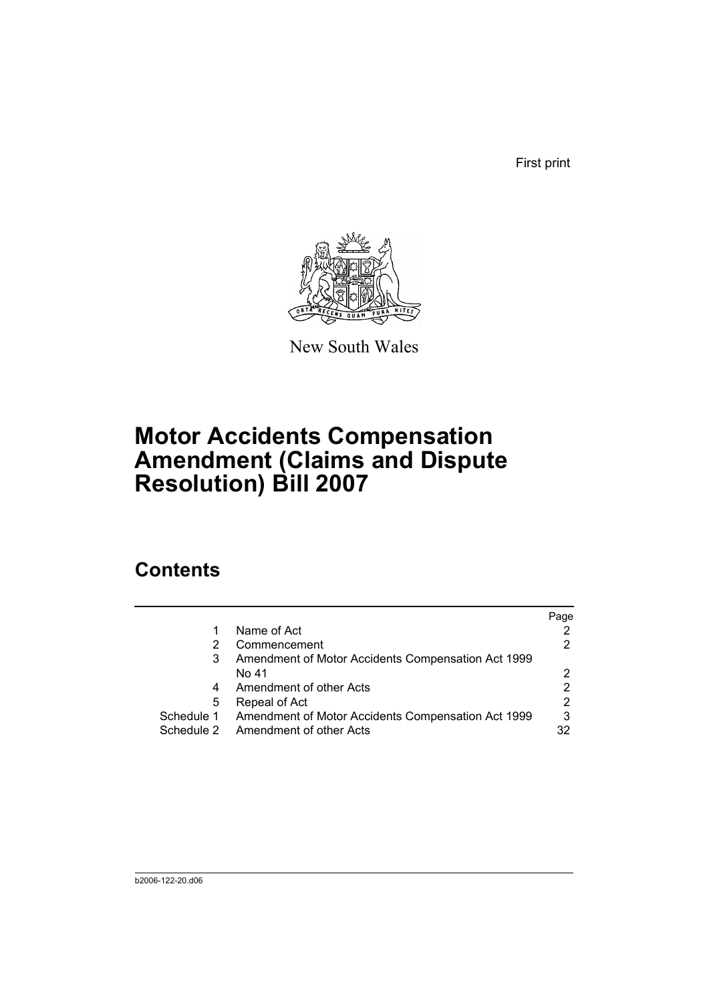First print



New South Wales

# **Motor Accidents Compensation Amendment (Claims and Dispute Resolution) Bill 2007**

# **Contents**

|            |                                                    | Page |
|------------|----------------------------------------------------|------|
| 1          | Name of Act                                        |      |
| 2          | Commencement                                       |      |
| 3          | Amendment of Motor Accidents Compensation Act 1999 |      |
|            | No 41                                              |      |
| 4          | Amendment of other Acts                            |      |
| 5          | Repeal of Act                                      | 2    |
| Schedule 1 | Amendment of Motor Accidents Compensation Act 1999 | 3    |
|            | Schedule 2 Amendment of other Acts                 | 32   |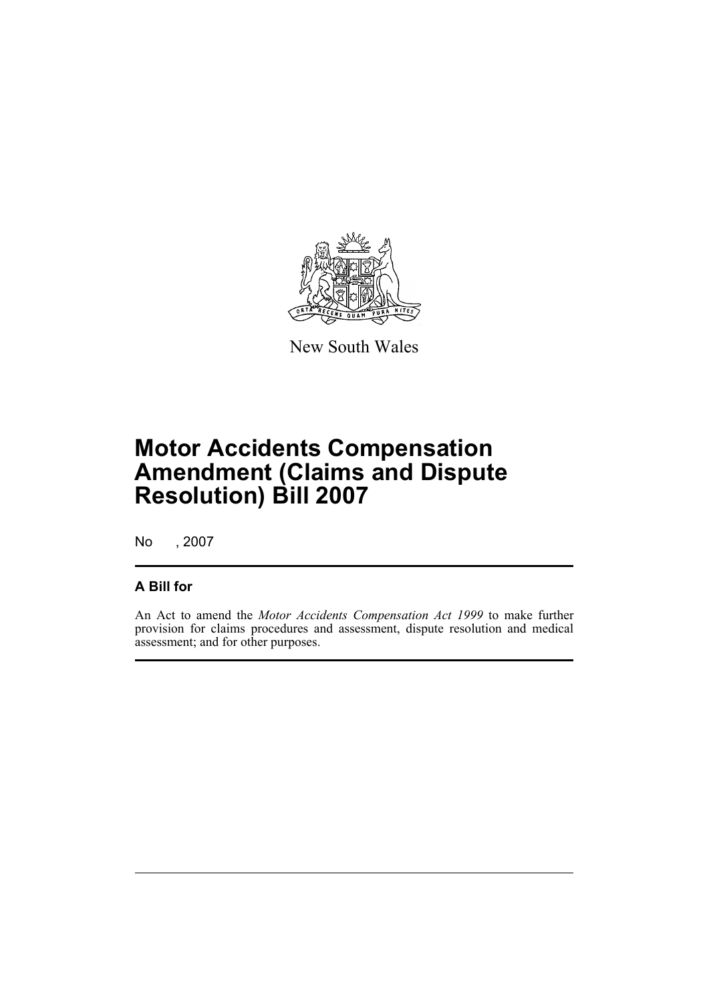

New South Wales

# **Motor Accidents Compensation Amendment (Claims and Dispute Resolution) Bill 2007**

No , 2007

### **A Bill for**

An Act to amend the *Motor Accidents Compensation Act 1999* to make further provision for claims procedures and assessment, dispute resolution and medical assessment; and for other purposes.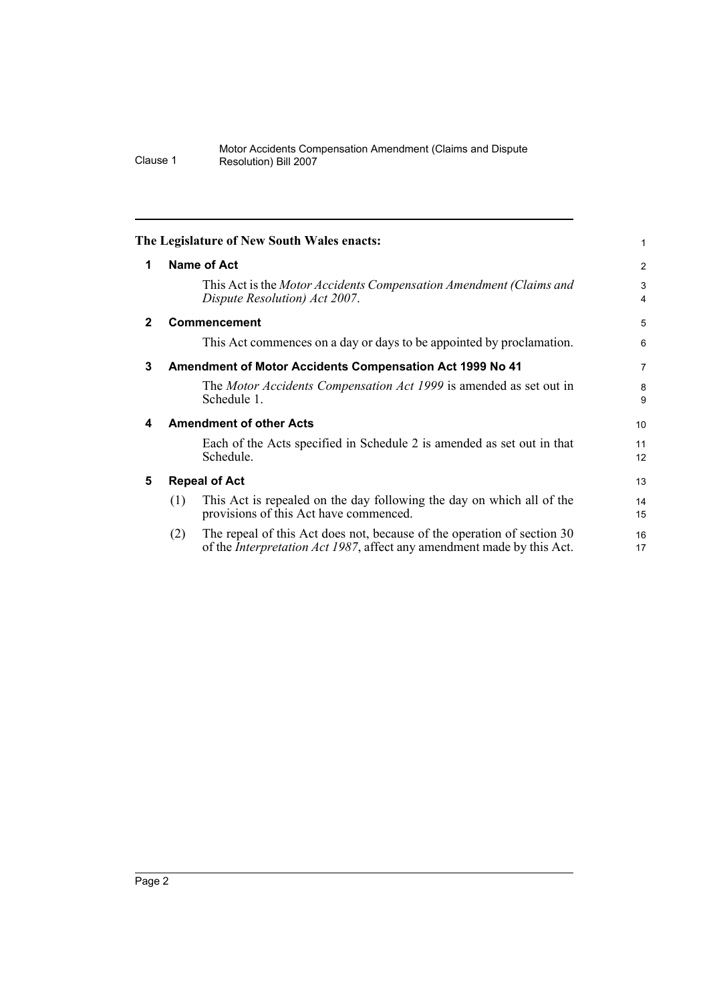<span id="page-11-4"></span><span id="page-11-3"></span><span id="page-11-2"></span><span id="page-11-1"></span><span id="page-11-0"></span>

|              | The Legislature of New South Wales enacts:                                                                                                                       | 1                   |
|--------------|------------------------------------------------------------------------------------------------------------------------------------------------------------------|---------------------|
| 1            | <b>Name of Act</b>                                                                                                                                               | $\overline{2}$      |
|              | This Act is the Motor Accidents Compensation Amendment (Claims and<br>Dispute Resolution) Act 2007.                                                              | 3<br>$\overline{4}$ |
| $\mathbf{2}$ | <b>Commencement</b>                                                                                                                                              | 5                   |
|              | This Act commences on a day or days to be appointed by proclamation.                                                                                             | 6                   |
| 3            | <b>Amendment of Motor Accidents Compensation Act 1999 No 41</b>                                                                                                  | $\overline{7}$      |
|              | The Motor Accidents Compensation Act 1999 is amended as set out in<br>Schedule 1.                                                                                | 8<br>9              |
| 4            | <b>Amendment of other Acts</b>                                                                                                                                   | 10                  |
|              | Each of the Acts specified in Schedule 2 is amended as set out in that<br>Schedule.                                                                              | 11<br>12            |
| 5            | <b>Repeal of Act</b>                                                                                                                                             | 13                  |
|              | This Act is repealed on the day following the day on which all of the<br>(1)<br>provisions of this Act have commenced.                                           | 14<br>15            |
|              | The repeal of this Act does not, because of the operation of section 30<br>(2)<br>of the <i>Interpretation Act 1987</i> , affect any amendment made by this Act. | 16<br>17            |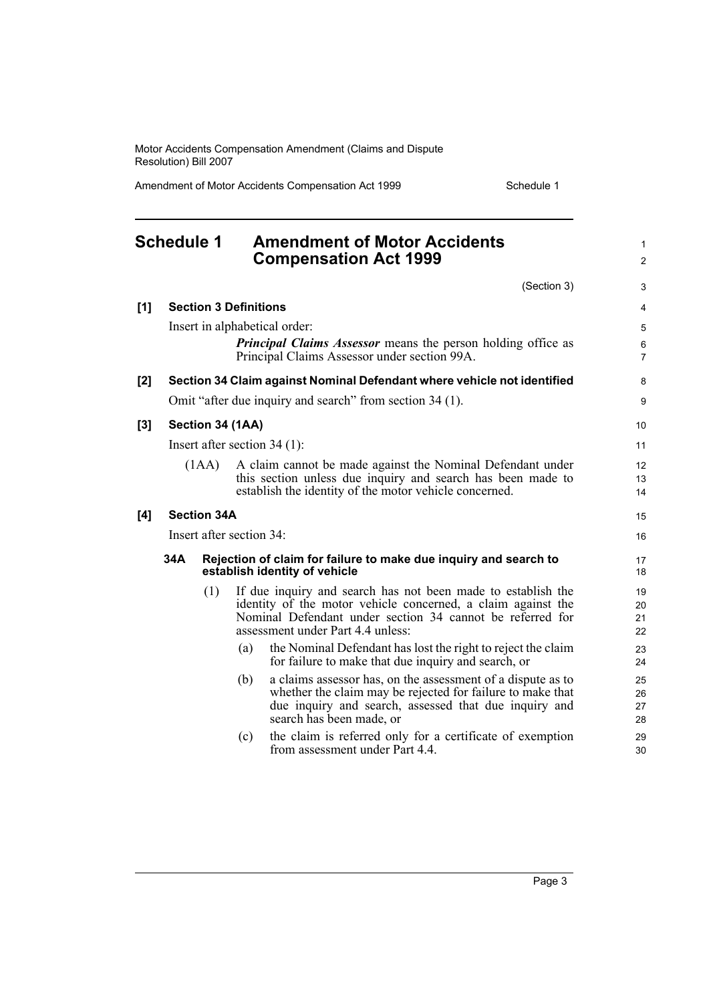Amendment of Motor Accidents Compensation Act 1999 Schedule 1

1  $\mathfrak{p}$ 

8 9

### <span id="page-12-0"></span>**Schedule 1 Amendment of Motor Accidents Compensation Act 1999** (Section 3) **[1] Section 3 Definitions** Insert in alphabetical order: *Principal Claims Assessor* means the person holding office as Principal Claims Assessor under section 99A. **[2] Section 34 Claim against Nominal Defendant where vehicle not identified** Omit "after due inquiry and search" from section 34 (1). **[3] Section 34 (1AA)** Insert after section 34 (1): (1AA) A claim cannot be made against the Nominal Defendant under this section unless due inquiry and search has been made to establish the identity of the motor vehicle concerned. **[4] Section 34A** Insert after section 34: **34A Rejection of claim for failure to make due inquiry and search to establish identity of vehicle** (1) If due inquiry and search has not been made to establish the identity of the motor vehicle concerned, a claim against the Nominal Defendant under section 34 cannot be referred for assessment under Part 4.4 unless: (a) the Nominal Defendant has lost the right to reject the claim for failure to make that due inquiry and search, or (b) a claims assessor has, on the assessment of a dispute as to whether the claim may be rejected for failure to make that due inquiry and search, assessed that due inquiry and search has been made, or

(c) the claim is referred only for a certificate of exemption from assessment under Part 4.4.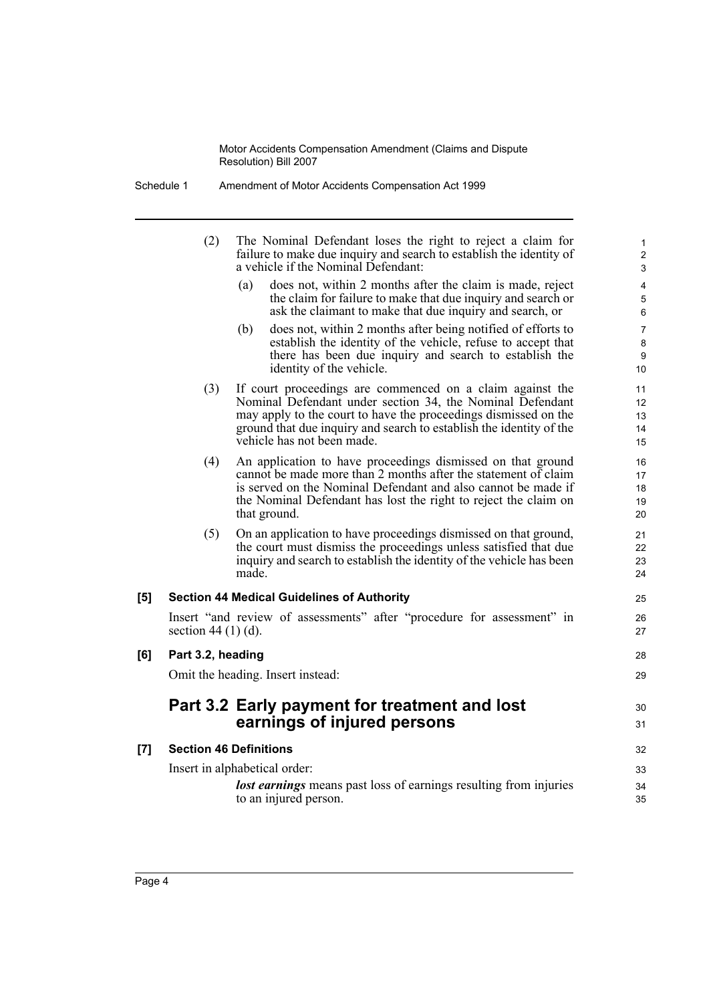| Schedule 1 | Amendment of Motor Accidents Compensation Act 1999 |
|------------|----------------------------------------------------|
|------------|----------------------------------------------------|

|     | (2)                           | The Nominal Defendant loses the right to reject a claim for<br>failure to make due inquiry and search to establish the identity of<br>a vehicle if the Nominal Defendant:                                                                                                                      | 1<br>$\overline{c}$<br>3   |
|-----|-------------------------------|------------------------------------------------------------------------------------------------------------------------------------------------------------------------------------------------------------------------------------------------------------------------------------------------|----------------------------|
|     |                               | does not, within 2 months after the claim is made, reject<br>(a)<br>the claim for failure to make that due inquiry and search or<br>ask the claimant to make that due inquiry and search, or                                                                                                   | 4<br>5<br>6                |
|     |                               | (b)<br>does not, within 2 months after being notified of efforts to<br>establish the identity of the vehicle, refuse to accept that<br>there has been due inquiry and search to establish the<br>identity of the vehicle.                                                                      | 7<br>8<br>9<br>10          |
|     | (3)                           | If court proceedings are commenced on a claim against the<br>Nominal Defendant under section 34, the Nominal Defendant<br>may apply to the court to have the proceedings dismissed on the<br>ground that due inquiry and search to establish the identity of the<br>vehicle has not been made. | 11<br>12<br>13<br>14<br>15 |
|     | (4)                           | An application to have proceedings dismissed on that ground<br>cannot be made more than 2 months after the statement of claim<br>is served on the Nominal Defendant and also cannot be made if<br>the Nominal Defendant has lost the right to reject the claim on<br>that ground.              | 16<br>17<br>18<br>19<br>20 |
|     | (5)                           | On an application to have proceedings dismissed on that ground,<br>the court must dismiss the proceedings unless satisfied that due<br>inquiry and search to establish the identity of the vehicle has been<br>made.                                                                           | 21<br>22<br>23<br>24       |
| [5] |                               | <b>Section 44 Medical Guidelines of Authority</b>                                                                                                                                                                                                                                              | 25                         |
|     | section 44 $(1)$ $(d)$ .      | Insert "and review of assessments" after "procedure for assessment" in                                                                                                                                                                                                                         | 26<br>27                   |
| [6] | Part 3.2, heading             |                                                                                                                                                                                                                                                                                                | 28                         |
|     |                               | Omit the heading. Insert instead:                                                                                                                                                                                                                                                              | 29                         |
|     |                               | Part 3.2 Early payment for treatment and lost<br>earnings of injured persons                                                                                                                                                                                                                   | 30<br>31                   |
| [7] | <b>Section 46 Definitions</b> |                                                                                                                                                                                                                                                                                                | 32                         |
|     |                               | Insert in alphabetical order:                                                                                                                                                                                                                                                                  | 33                         |
|     |                               | lost earnings means past loss of earnings resulting from injuries<br>to an injured person.                                                                                                                                                                                                     | 34<br>35                   |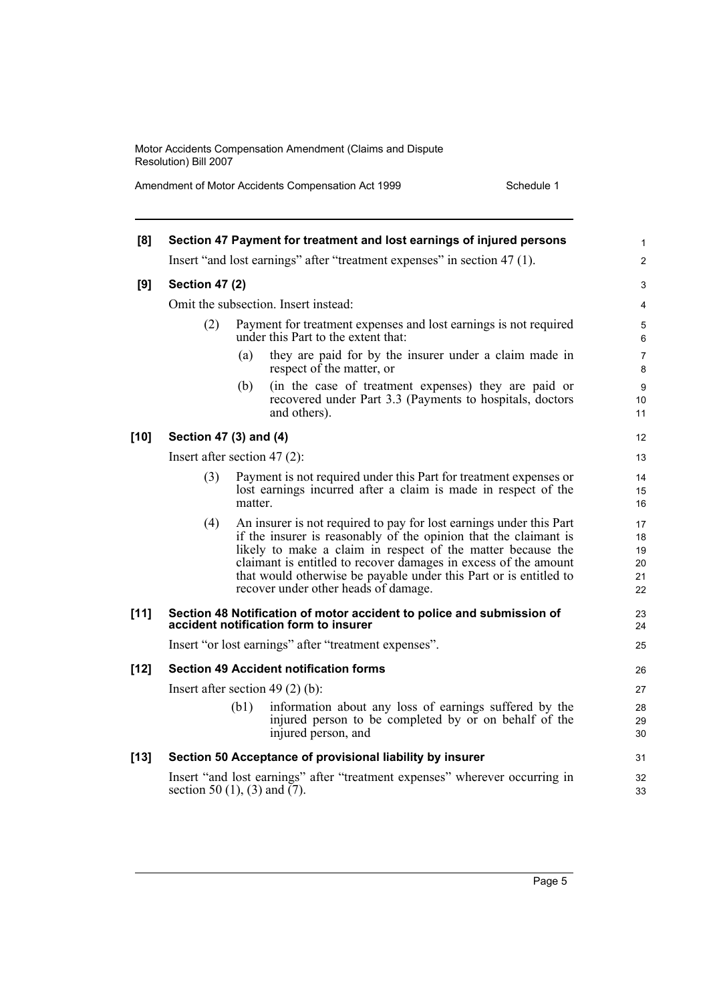Amendment of Motor Accidents Compensation Act 1999 Schedule 1

| [8]    |                                 |         | Section 47 Payment for treatment and lost earnings of injured persons                                                                                                                                                                                                                                                                                                                  | 1                                |
|--------|---------------------------------|---------|----------------------------------------------------------------------------------------------------------------------------------------------------------------------------------------------------------------------------------------------------------------------------------------------------------------------------------------------------------------------------------------|----------------------------------|
|        |                                 |         | Insert "and lost earnings" after "treatment expenses" in section 47 (1).                                                                                                                                                                                                                                                                                                               | $\overline{c}$                   |
| [9]    | <b>Section 47 (2)</b>           |         |                                                                                                                                                                                                                                                                                                                                                                                        | 3                                |
|        |                                 |         | Omit the subsection. Insert instead:                                                                                                                                                                                                                                                                                                                                                   | 4                                |
|        | (2)                             |         | Payment for treatment expenses and lost earnings is not required<br>under this Part to the extent that:                                                                                                                                                                                                                                                                                | 5<br>6                           |
|        |                                 | (a)     | they are paid for by the insurer under a claim made in<br>respect of the matter, or                                                                                                                                                                                                                                                                                                    | 7<br>8                           |
|        |                                 | (b)     | (in the case of treatment expenses) they are paid or<br>recovered under Part 3.3 (Payments to hospitals, doctors<br>and others).                                                                                                                                                                                                                                                       | 9<br>10<br>11                    |
| $[10]$ | Section 47 (3) and (4)          |         |                                                                                                                                                                                                                                                                                                                                                                                        | 12                               |
|        | Insert after section 47 $(2)$ : |         |                                                                                                                                                                                                                                                                                                                                                                                        | 13                               |
|        | (3)                             | matter. | Payment is not required under this Part for treatment expenses or<br>lost earnings incurred after a claim is made in respect of the                                                                                                                                                                                                                                                    | 14<br>15<br>16                   |
|        | (4)                             |         | An insurer is not required to pay for lost earnings under this Part<br>if the insurer is reasonably of the opinion that the claimant is<br>likely to make a claim in respect of the matter because the<br>claimant is entitled to recover damages in excess of the amount<br>that would otherwise be payable under this Part or is entitled to<br>recover under other heads of damage. | 17<br>18<br>19<br>20<br>21<br>22 |
| $[11]$ |                                 |         | Section 48 Notification of motor accident to police and submission of<br>accident notification form to insurer                                                                                                                                                                                                                                                                         | 23<br>24                         |
|        |                                 |         | Insert "or lost earnings" after "treatment expenses".                                                                                                                                                                                                                                                                                                                                  | 25                               |
| $[12]$ |                                 |         | <b>Section 49 Accident notification forms</b>                                                                                                                                                                                                                                                                                                                                          | 26                               |
|        |                                 |         | Insert after section 49 $(2)$ (b):                                                                                                                                                                                                                                                                                                                                                     | 27                               |
|        |                                 | (b1)    | information about any loss of earnings suffered by the<br>injured person to be completed by or on behalf of the<br>injured person, and                                                                                                                                                                                                                                                 | 28<br>29<br>30                   |
| $[13]$ |                                 |         | Section 50 Acceptance of provisional liability by insurer                                                                                                                                                                                                                                                                                                                              | 31                               |
|        | section 50 (1), (3) and $(7)$ . |         | Insert "and lost earnings" after "treatment expenses" wherever occurring in                                                                                                                                                                                                                                                                                                            | 32<br>33                         |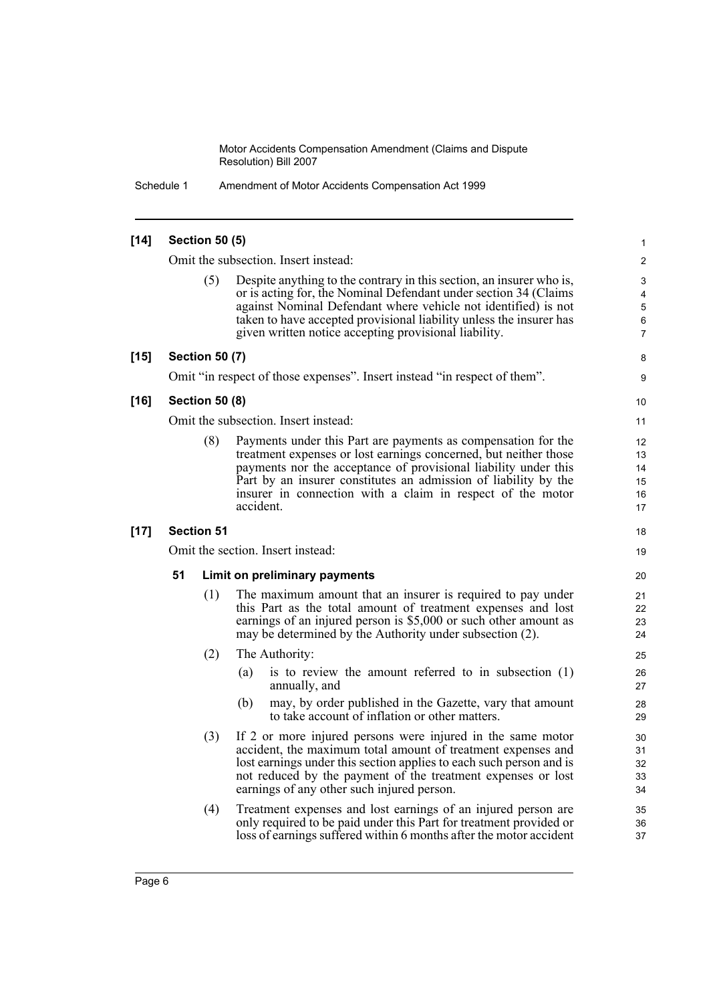Schedule 1 Amendment of Motor Accidents Compensation Act 1999

#### **[14] Section 50 (5)** Omit the subsection. Insert instead: Despite anything to the contrary in this section, an insurer who is, or is acting for, the Nominal Defendant under section 34 (Claims against Nominal Defendant where vehicle not identified) is not taken to have accepted provisional liability unless the insurer has given written notice accepting provisional liability. **[15] Section 50 (7)** Omit "in respect of those expenses". Insert instead "in respect of them". **[16] Section 50 (8)** Omit the subsection. Insert instead: (8) Payments under this Part are payments as compensation for the treatment expenses or lost earnings concerned, but neither those payments nor the acceptance of provisional liability under this Part by an insurer constitutes an admission of liability by the insurer in connection with a claim in respect of the motor accident. **[17] Section 51** Omit the section. Insert instead: **51 Limit on preliminary payments** (1) The maximum amount that an insurer is required to pay under this Part as the total amount of treatment expenses and lost earnings of an injured person is \$5,000 or such other amount as may be determined by the Authority under subsection (2). (2) The Authority: (a) is to review the amount referred to in subsection (1) annually, and (b) may, by order published in the Gazette, vary that amount to take account of inflation or other matters. (3) If 2 or more injured persons were injured in the same motor accident, the maximum total amount of treatment expenses and lost earnings under this section applies to each such person and is not reduced by the payment of the treatment expenses or lost earnings of any other such injured person. (4) Treatment expenses and lost earnings of an injured person are only required to be paid under this Part for treatment provided or loss of earnings suffered within 6 months after the motor accident 1 2 3 4 5 6 7 8 9 10 11 12 13 14 15 16 17 18 19 20 21 22 23 24 25 26 27  $28$ 29 30 31 32 33 34 35 36 37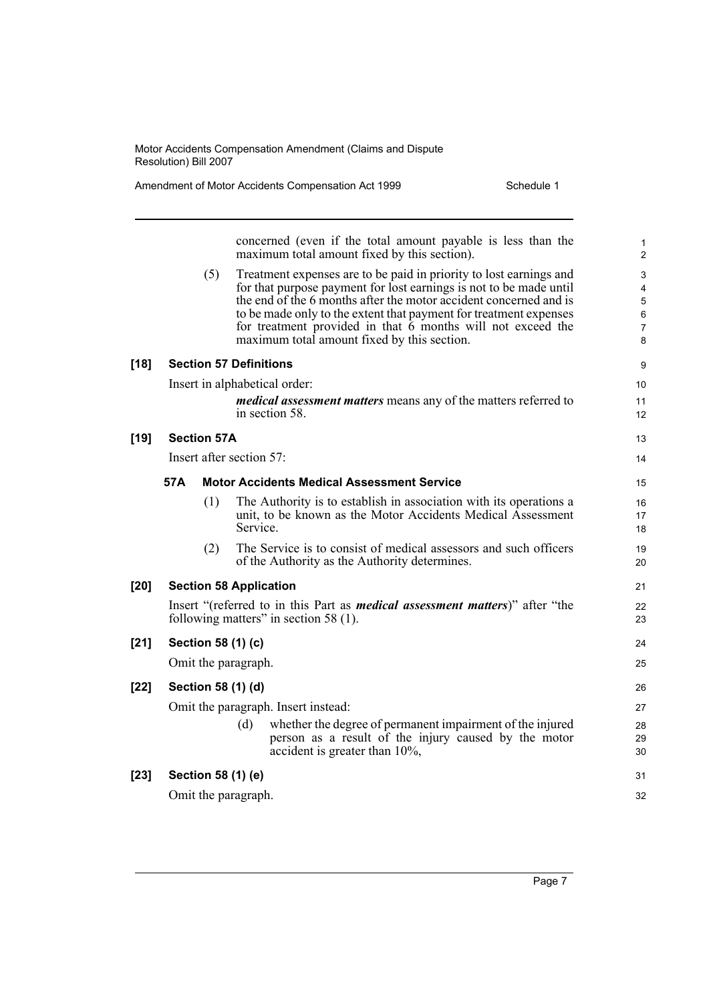Amendment of Motor Accidents Compensation Act 1999 Schedule 1

|        |     |                    |                          | concerned (even if the total amount payable is less than the<br>maximum total amount fixed by this section).                                                                                                                                                                                                                                                                                       | 1<br>$\overline{c}$        |
|--------|-----|--------------------|--------------------------|----------------------------------------------------------------------------------------------------------------------------------------------------------------------------------------------------------------------------------------------------------------------------------------------------------------------------------------------------------------------------------------------------|----------------------------|
|        |     | (5)                |                          | Treatment expenses are to be paid in priority to lost earnings and<br>for that purpose payment for lost earnings is not to be made until<br>the end of the 6 months after the motor accident concerned and is<br>to be made only to the extent that payment for treatment expenses<br>for treatment provided in that $6$ months will not exceed the<br>maximum total amount fixed by this section. | 3<br>4<br>5<br>6<br>7<br>8 |
| $[18]$ |     |                    |                          | <b>Section 57 Definitions</b>                                                                                                                                                                                                                                                                                                                                                                      | 9                          |
|        |     |                    |                          | Insert in alphabetical order:                                                                                                                                                                                                                                                                                                                                                                      | 10                         |
|        |     |                    |                          | <i>medical assessment matters</i> means any of the matters referred to<br>in section 58.                                                                                                                                                                                                                                                                                                           | 11<br>12                   |
| $[19]$ |     | <b>Section 57A</b> |                          |                                                                                                                                                                                                                                                                                                                                                                                                    | 13                         |
|        |     |                    | Insert after section 57: |                                                                                                                                                                                                                                                                                                                                                                                                    | 14                         |
|        | 57A |                    |                          | <b>Motor Accidents Medical Assessment Service</b>                                                                                                                                                                                                                                                                                                                                                  | 15                         |
|        |     | (1)                | Service.                 | The Authority is to establish in association with its operations a<br>unit, to be known as the Motor Accidents Medical Assessment                                                                                                                                                                                                                                                                  | 16<br>17<br>18             |
|        |     | (2)                |                          | The Service is to consist of medical assessors and such officers<br>of the Authority as the Authority determines.                                                                                                                                                                                                                                                                                  | 19<br>20                   |
| $[20]$ |     |                    |                          | <b>Section 58 Application</b>                                                                                                                                                                                                                                                                                                                                                                      | 21                         |
|        |     |                    |                          | Insert "(referred to in this Part as <i>medical assessment matters</i> )" after "the<br>following matters" in section 58 (1).                                                                                                                                                                                                                                                                      | 22<br>23                   |
| $[21]$ |     |                    | Section 58 (1) (c)       |                                                                                                                                                                                                                                                                                                                                                                                                    | 24                         |
|        |     |                    | Omit the paragraph.      |                                                                                                                                                                                                                                                                                                                                                                                                    | 25                         |
| $[22]$ |     |                    | Section 58 (1) (d)       |                                                                                                                                                                                                                                                                                                                                                                                                    | 26                         |
|        |     |                    |                          | Omit the paragraph. Insert instead:                                                                                                                                                                                                                                                                                                                                                                | 27                         |
|        |     |                    | (d)                      | whether the degree of permanent impairment of the injured<br>person as a result of the injury caused by the motor<br>accident is greater than $10\%$ ,                                                                                                                                                                                                                                             | 28<br>29<br>30             |
| $[23]$ |     |                    | Section 58 (1) (e)       |                                                                                                                                                                                                                                                                                                                                                                                                    | 31                         |
|        |     |                    | Omit the paragraph.      |                                                                                                                                                                                                                                                                                                                                                                                                    | 32                         |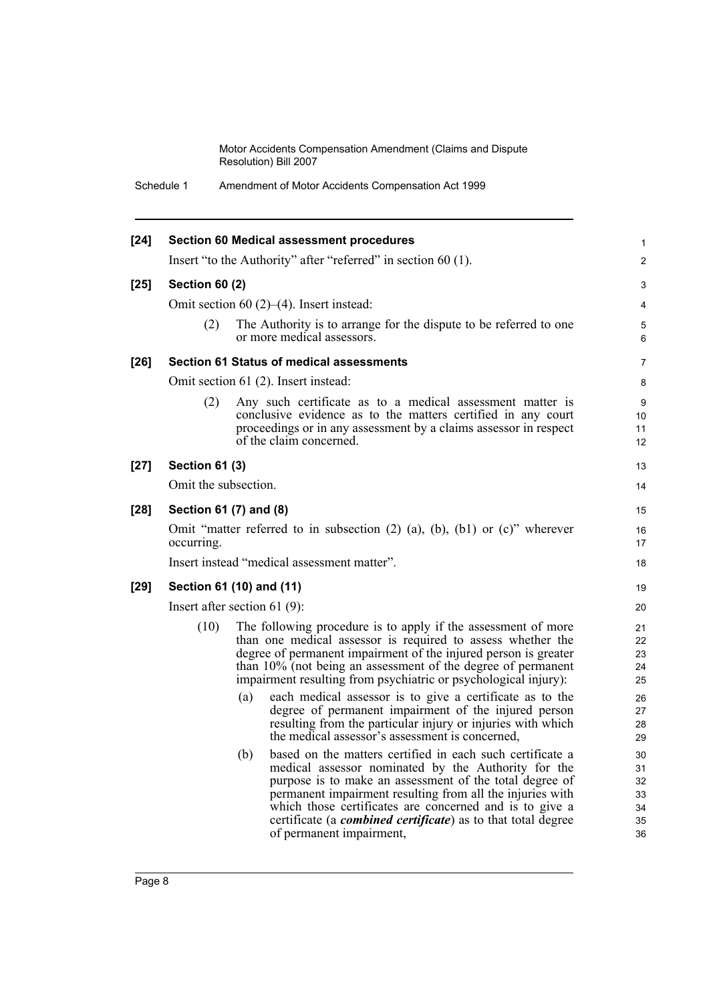Schedule 1 Amendment of Motor Accidents Compensation Act 1999

| $[24]$ |                       | <b>Section 60 Medical assessment procedures</b>                                                                                                                                                                                                                                                                                                                                                                | $\mathbf{1}$                           |
|--------|-----------------------|----------------------------------------------------------------------------------------------------------------------------------------------------------------------------------------------------------------------------------------------------------------------------------------------------------------------------------------------------------------------------------------------------------------|----------------------------------------|
|        |                       | Insert "to the Authority" after "referred" in section 60 (1).                                                                                                                                                                                                                                                                                                                                                  | $\overline{2}$                         |
| $[25]$ | <b>Section 60 (2)</b> |                                                                                                                                                                                                                                                                                                                                                                                                                | 3                                      |
|        |                       | Omit section 60 $(2)$ – $(4)$ . Insert instead:                                                                                                                                                                                                                                                                                                                                                                | 4                                      |
|        | (2)                   | The Authority is to arrange for the dispute to be referred to one<br>or more medical assessors.                                                                                                                                                                                                                                                                                                                | 5<br>6                                 |
| $[26]$ |                       | <b>Section 61 Status of medical assessments</b>                                                                                                                                                                                                                                                                                                                                                                | $\overline{7}$                         |
|        |                       | Omit section 61 (2). Insert instead:                                                                                                                                                                                                                                                                                                                                                                           | 8                                      |
|        | (2)                   | Any such certificate as to a medical assessment matter is<br>conclusive evidence as to the matters certified in any court<br>proceedings or in any assessment by a claims assessor in respect<br>of the claim concerned.                                                                                                                                                                                       | 9<br>10<br>11<br>12                    |
| $[27]$ | <b>Section 61 (3)</b> |                                                                                                                                                                                                                                                                                                                                                                                                                | 13                                     |
|        | Omit the subsection.  |                                                                                                                                                                                                                                                                                                                                                                                                                | 14                                     |
| $[28]$ |                       | Section 61 (7) and (8)                                                                                                                                                                                                                                                                                                                                                                                         | 15                                     |
|        | occurring.            | Omit "matter referred to in subsection $(2)$ $(a)$ , $(b)$ , $(b)$ or $(c)$ " wherever                                                                                                                                                                                                                                                                                                                         | 16<br>17                               |
|        |                       | Insert instead "medical assessment matter".                                                                                                                                                                                                                                                                                                                                                                    | 18                                     |
| $[29]$ |                       | Section 61 (10) and (11)                                                                                                                                                                                                                                                                                                                                                                                       | 19                                     |
|        |                       | Insert after section 61 $(9)$ :                                                                                                                                                                                                                                                                                                                                                                                | 20                                     |
|        | (10)                  | The following procedure is to apply if the assessment of more<br>than one medical assessor is required to assess whether the<br>degree of permanent impairment of the injured person is greater<br>than 10% (not being an assessment of the degree of permanent<br>impairment resulting from psychiatric or psychological injury):                                                                             | 21<br>22<br>23<br>24<br>25             |
|        |                       | each medical assessor is to give a certificate as to the<br>(a)<br>degree of permanent impairment of the injured person<br>resulting from the particular injury or injuries with which<br>the medical assessor's assessment is concerned,                                                                                                                                                                      | 26<br>27<br>28<br>29                   |
|        |                       | based on the matters certified in each such certificate a<br>(b)<br>medical assessor nominated by the Authority for the<br>purpose is to make an assessment of the total degree of<br>permanent impairment resulting from all the injuries with<br>which those certificates are concerned and is to give a<br>certificate (a <i>combined certificate</i> ) as to that total degree<br>of permanent impairment, | 30<br>31<br>32<br>33<br>34<br>35<br>36 |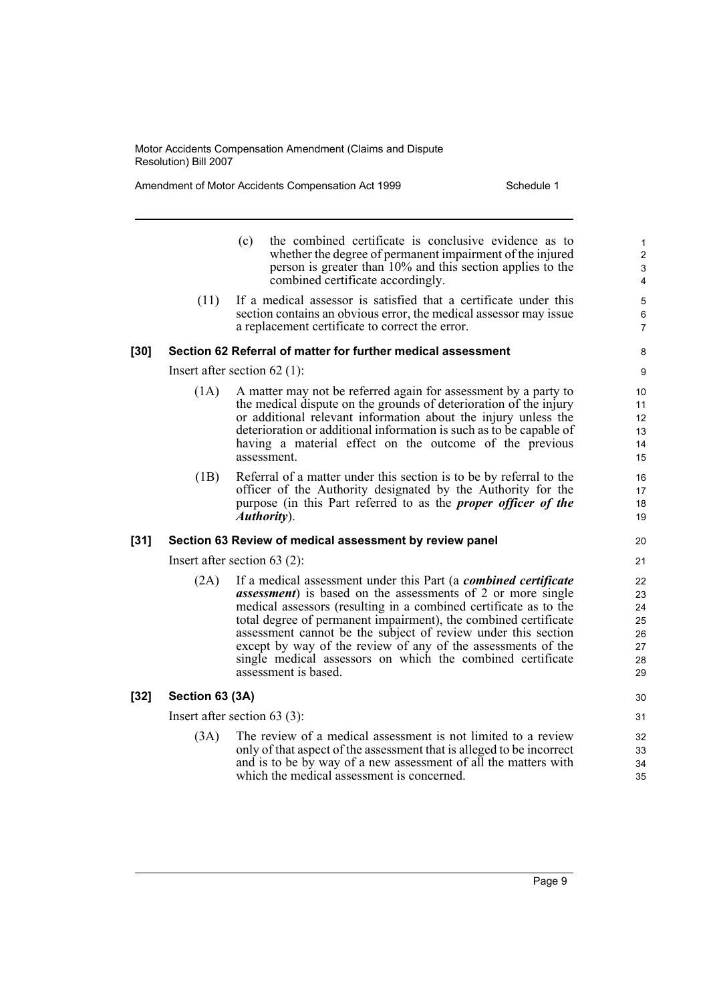Amendment of Motor Accidents Compensation Act 1999 Schedule 1

- (c) the combined certificate is conclusive evidence as to whether the degree of permanent impairment of the injured person is greater than 10% and this section applies to the combined certificate accordingly.
- (11) If a medical assessor is satisfied that a certificate under this section contains an obvious error, the medical assessor may issue a replacement certificate to correct the error.

#### **[30] Section 62 Referral of matter for further medical assessment**

Insert after section 62 (1):

- (1A) A matter may not be referred again for assessment by a party to the medical dispute on the grounds of deterioration of the injury or additional relevant information about the injury unless the deterioration or additional information is such as to be capable of having a material effect on the outcome of the previous assessment.
- (1B) Referral of a matter under this section is to be by referral to the officer of the Authority designated by the Authority for the purpose (in this Part referred to as the *proper officer of the Authority*).

#### **[31] Section 63 Review of medical assessment by review panel**

Insert after section 63 (2):

(2A) If a medical assessment under this Part (a *combined certificate assessment*) is based on the assessments of 2 or more single medical assessors (resulting in a combined certificate as to the total degree of permanent impairment), the combined certificate assessment cannot be the subject of review under this section except by way of the review of any of the assessments of the single medical assessors on which the combined certificate assessment is based.

#### **[32] Section 63 (3A)**

Insert after section 63 (3):

(3A) The review of a medical assessment is not limited to a review only of that aspect of the assessment that is alleged to be incorrect and is to be by way of a new assessment of all the matters with which the medical assessment is concerned.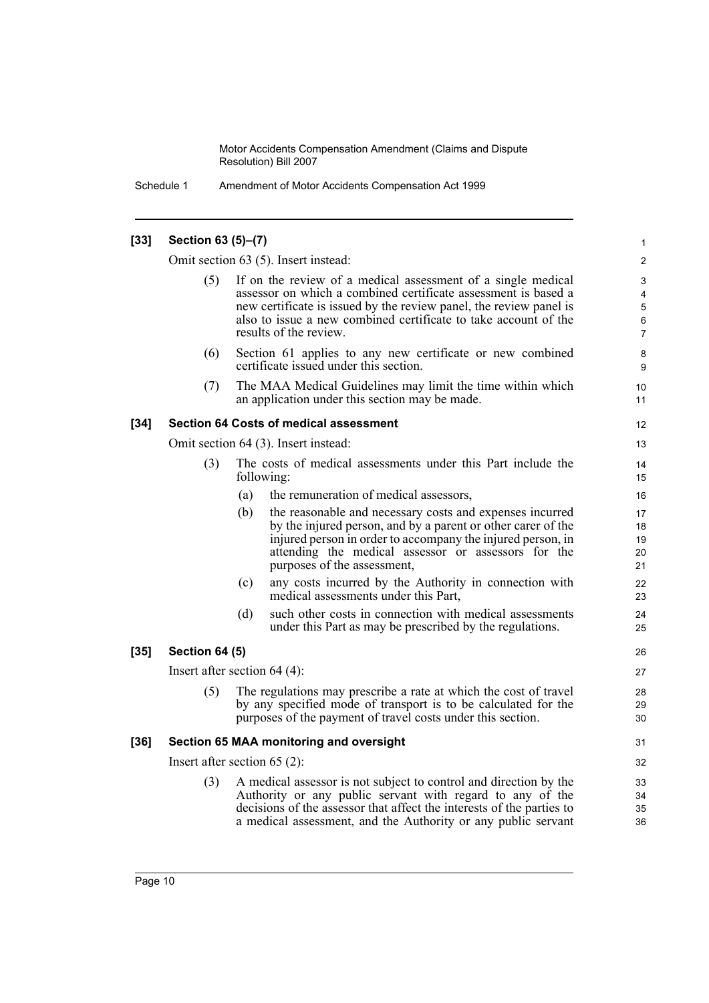Schedule 1 Amendment of Motor Accidents Compensation Act 1999

#### **[33] Section 63 (5)–(7)** Omit section 63 (5). Insert instead: If on the review of a medical assessment of a single medical assessor on which a combined certificate assessment is based a new certificate is issued by the review panel, the review panel is also to issue a new combined certificate to take account of the results of the review. (6) Section 61 applies to any new certificate or new combined certificate issued under this section. (7) The MAA Medical Guidelines may limit the time within which an application under this section may be made. **[34] Section 64 Costs of medical assessment** Omit section 64 (3). Insert instead: (3) The costs of medical assessments under this Part include the following: (a) the remuneration of medical assessors, (b) the reasonable and necessary costs and expenses incurred by the injured person, and by a parent or other carer of the injured person in order to accompany the injured person, in attending the medical assessor or assessors for the purposes of the assessment, (c) any costs incurred by the Authority in connection with medical assessments under this Part, (d) such other costs in connection with medical assessments under this Part as may be prescribed by the regulations. **[35] Section 64 (5)** Insert after section 64 (4): (5) The regulations may prescribe a rate at which the cost of travel by any specified mode of transport is to be calculated for the purposes of the payment of travel costs under this section. **[36] Section 65 MAA monitoring and oversight** Insert after section 65 (2): (3) A medical assessor is not subject to control and direction by the Authority or any public servant with regard to any of the decisions of the assessor that affect the interests of the parties to a medical assessment, and the Authority or any public servant 1 2 3 4 5 6 7 8 9 10 11 12 13 14 15 16 17 18 19 20 21  $22$ 23 24 25 26 27 28 29 30 31 32 33 34 35 36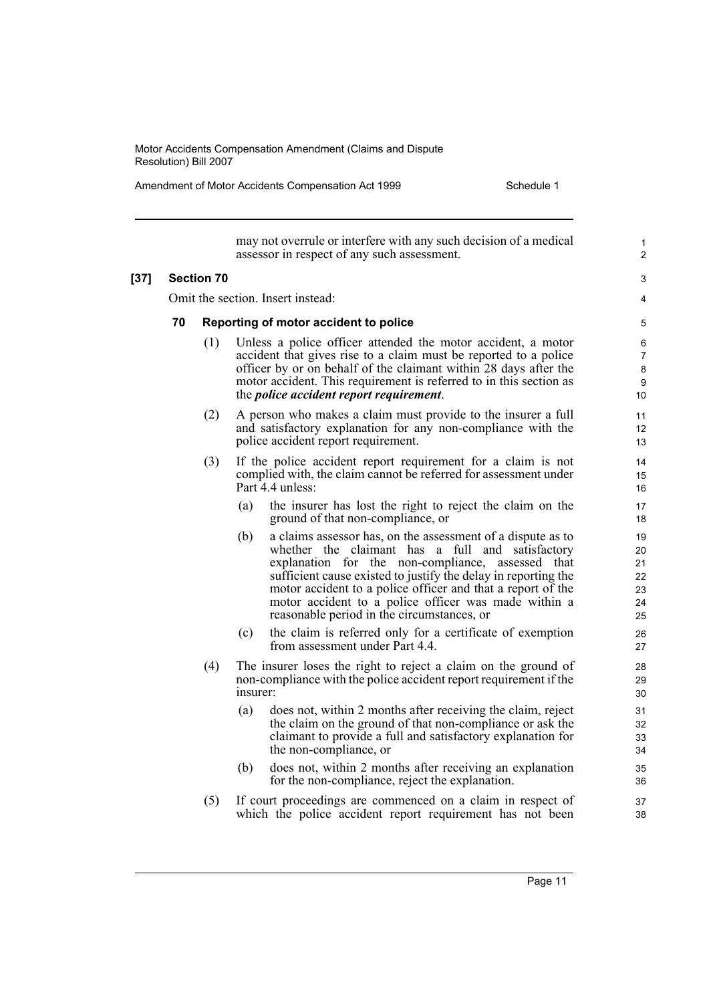Amendment of Motor Accidents Compensation Act 1999 Schedule 1

may not overrule or interfere with any such decision of a medical assessor in respect of any such assessment. **[37] Section 70** Omit the section. Insert instead: **70 Reporting of motor accident to police** (1) Unless a police officer attended the motor accident, a motor accident that gives rise to a claim must be reported to a police officer by or on behalf of the claimant within 28 days after the motor accident. This requirement is referred to in this section as the *police accident report requirement*. (2) A person who makes a claim must provide to the insurer a full and satisfactory explanation for any non-compliance with the police accident report requirement. (3) If the police accident report requirement for a claim is not complied with, the claim cannot be referred for assessment under Part 4.4 unless: (a) the insurer has lost the right to reject the claim on the ground of that non-compliance, or (b) a claims assessor has, on the assessment of a dispute as to whether the claimant has a full and satisfactory explanation for the non-compliance, assessed that sufficient cause existed to justify the delay in reporting the motor accident to a police officer and that a report of the motor accident to a police officer was made within a reasonable period in the circumstances, or (c) the claim is referred only for a certificate of exemption from assessment under Part 4.4. (4) The insurer loses the right to reject a claim on the ground of non-compliance with the police accident report requirement if the insurer: (a) does not, within 2 months after receiving the claim, reject the claim on the ground of that non-compliance or ask the claimant to provide a full and satisfactory explanation for the non-compliance, or (b) does not, within 2 months after receiving an explanation for the non-compliance, reject the explanation. (5) If court proceedings are commenced on a claim in respect of which the police accident report requirement has not been 1  $\overline{2}$ 3 4 5 6 7 8 9 10 11 12 13 14 15 16 17 18 19  $20$ 21 22 23 24 25 26 27 28 29 30 31 32 33 34 35 36 37 38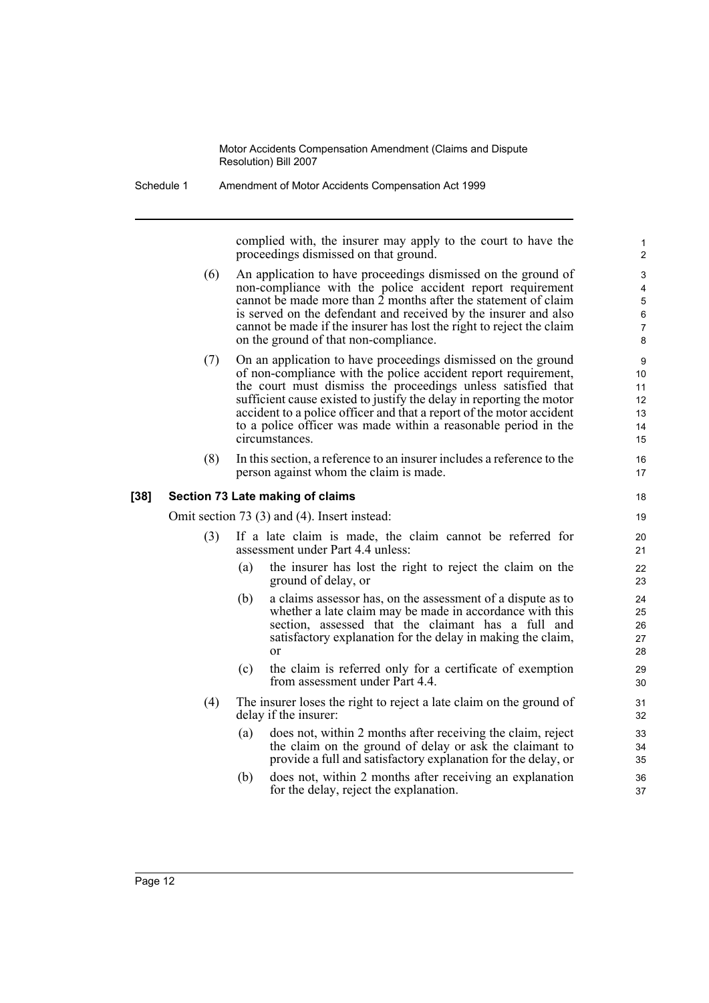Schedule 1 Amendment of Motor Accidents Compensation Act 1999

complied with, the insurer may apply to the court to have the proceedings dismissed on that ground.

- (6) An application to have proceedings dismissed on the ground of non-compliance with the police accident report requirement cannot be made more than  $\hat{2}$  months after the statement of claim is served on the defendant and received by the insurer and also cannot be made if the insurer has lost the right to reject the claim on the ground of that non-compliance.
- (7) On an application to have proceedings dismissed on the ground of non-compliance with the police accident report requirement, the court must dismiss the proceedings unless satisfied that sufficient cause existed to justify the delay in reporting the motor accident to a police officer and that a report of the motor accident to a police officer was made within a reasonable period in the circumstances.
- (8) In this section, a reference to an insurer includes a reference to the person against whom the claim is made.

#### **[38] Section 73 Late making of claims**

Omit section 73 (3) and (4). Insert instead:

- (3) If a late claim is made, the claim cannot be referred for assessment under Part 4.4 unless:
	- (a) the insurer has lost the right to reject the claim on the ground of delay, or
	- (b) a claims assessor has, on the assessment of a dispute as to whether a late claim may be made in accordance with this section, assessed that the claimant has a full and satisfactory explanation for the delay in making the claim, or
	- (c) the claim is referred only for a certificate of exemption from assessment under Part 4.4.
- (4) The insurer loses the right to reject a late claim on the ground of delay if the insurer:
	- (a) does not, within 2 months after receiving the claim, reject the claim on the ground of delay or ask the claimant to provide a full and satisfactory explanation for the delay, or
	- (b) does not, within 2 months after receiving an explanation for the delay, reject the explanation.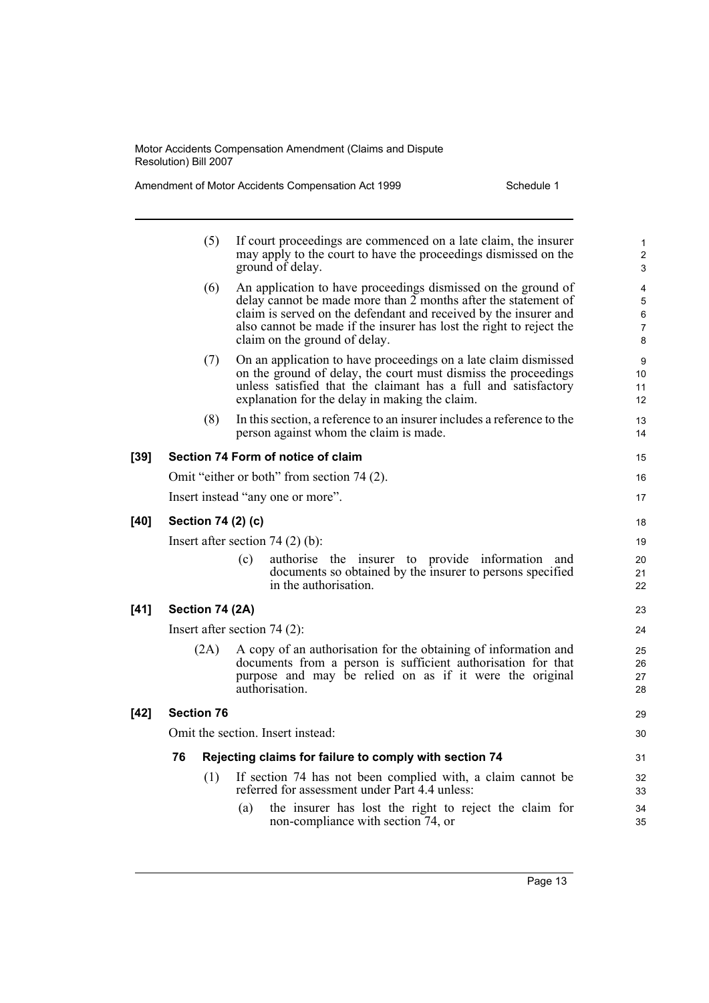Amendment of Motor Accidents Compensation Act 1999 Schedule 1

|        | (5)                | If court proceedings are commenced on a late claim, the insurer<br>may apply to the court to have the proceedings dismissed on the<br>ground of delay.                                                                                                                                                      | $\mathbf{1}$<br>$\mathbf{2}$<br>3  |
|--------|--------------------|-------------------------------------------------------------------------------------------------------------------------------------------------------------------------------------------------------------------------------------------------------------------------------------------------------------|------------------------------------|
|        | (6)                | An application to have proceedings dismissed on the ground of<br>delay cannot be made more than 2 months after the statement of<br>claim is served on the defendant and received by the insurer and<br>also cannot be made if the insurer has lost the right to reject the<br>claim on the ground of delay. | 4<br>5<br>6<br>$\overline{7}$<br>8 |
|        | (7)                | On an application to have proceedings on a late claim dismissed<br>on the ground of delay, the court must dismiss the proceedings<br>unless satisfied that the claimant has a full and satisfactory<br>explanation for the delay in making the claim.                                                       | 9<br>10<br>11<br>12                |
|        | (8)                | In this section, a reference to an insurer includes a reference to the<br>person against whom the claim is made.                                                                                                                                                                                            | 13<br>14                           |
| $[39]$ |                    | Section 74 Form of notice of claim                                                                                                                                                                                                                                                                          | 15                                 |
|        |                    | Omit "either or both" from section 74 (2).                                                                                                                                                                                                                                                                  | 16                                 |
|        |                    | Insert instead "any one or more".                                                                                                                                                                                                                                                                           | 17                                 |
| $[40]$ | Section 74 (2) (c) |                                                                                                                                                                                                                                                                                                             | 18                                 |
|        |                    | Insert after section 74 $(2)$ (b):                                                                                                                                                                                                                                                                          | 19                                 |
|        |                    | authorise the insurer to provide information and<br>(c)<br>documents so obtained by the insurer to persons specified<br>in the authorisation.                                                                                                                                                               | 20<br>21<br>22                     |
| $[41]$ | Section 74 (2A)    |                                                                                                                                                                                                                                                                                                             | 23                                 |
|        |                    | Insert after section $74(2)$ :                                                                                                                                                                                                                                                                              | 24                                 |
|        | (2A)               | A copy of an authorisation for the obtaining of information and<br>documents from a person is sufficient authorisation for that<br>purpose and may be relied on as if it were the original<br>authorisation.                                                                                                | 25<br>26<br>27<br>28               |
| $[42]$ | <b>Section 76</b>  |                                                                                                                                                                                                                                                                                                             | 29                                 |
|        |                    | Omit the section. Insert instead:                                                                                                                                                                                                                                                                           | 30                                 |
|        | 76                 | Rejecting claims for failure to comply with section 74                                                                                                                                                                                                                                                      | 31                                 |
|        | (1)                | If section 74 has not been complied with, a claim cannot be<br>referred for assessment under Part 4.4 unless:                                                                                                                                                                                               | 32<br>33                           |
|        |                    | the insurer has lost the right to reject the claim for<br>(a)<br>non-compliance with section 74, or                                                                                                                                                                                                         | 34<br>35                           |

Page 13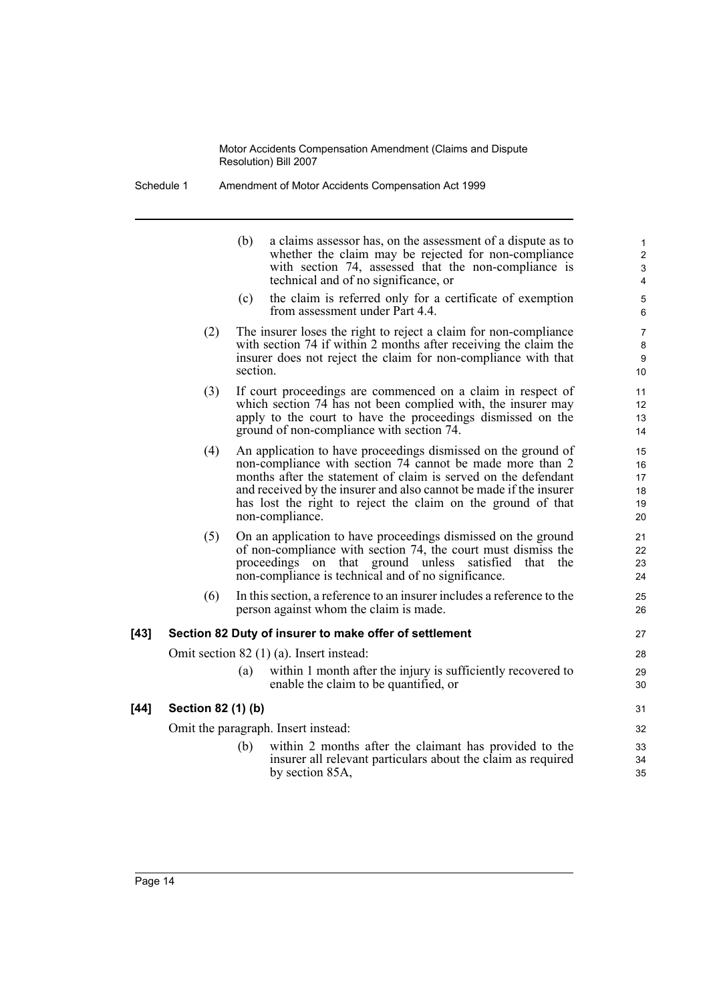Schedule 1 Amendment of Motor Accidents Compensation Act 1999

|        |                    | (b)<br>(c) | a claims assessor has, on the assessment of a dispute as to<br>whether the claim may be rejected for non-compliance<br>with section 74, assessed that the non-compliance is<br>technical and of no significance, or<br>the claim is referred only for a certificate of exemption                                                                      | $\mathbf{1}$<br>$\overline{c}$<br>$\mathbf{3}$<br>4<br>5 |
|--------|--------------------|------------|-------------------------------------------------------------------------------------------------------------------------------------------------------------------------------------------------------------------------------------------------------------------------------------------------------------------------------------------------------|----------------------------------------------------------|
|        |                    |            | from assessment under Part 4.4.                                                                                                                                                                                                                                                                                                                       | 6                                                        |
|        | (2)                | section.   | The insurer loses the right to reject a claim for non-compliance<br>with section 74 if within 2 months after receiving the claim the<br>insurer does not reject the claim for non-compliance with that                                                                                                                                                | $\overline{7}$<br>8<br>$\boldsymbol{9}$<br>10            |
|        | (3)                |            | If court proceedings are commenced on a claim in respect of<br>which section 74 has not been complied with, the insurer may<br>apply to the court to have the proceedings dismissed on the<br>ground of non-compliance with section 74.                                                                                                               | 11<br>12<br>13<br>14                                     |
|        | (4)                |            | An application to have proceedings dismissed on the ground of<br>non-compliance with section 74 cannot be made more than 2<br>months after the statement of claim is served on the defendant<br>and received by the insurer and also cannot be made if the insurer<br>has lost the right to reject the claim on the ground of that<br>non-compliance. | 15<br>16<br>17<br>18<br>19<br>20                         |
|        | (5)                |            | On an application to have proceedings dismissed on the ground<br>of non-compliance with section 74, the court must dismiss the<br>proceedings on that ground unless satisfied that<br>the<br>non-compliance is technical and of no significance.                                                                                                      | 21<br>22<br>23<br>24                                     |
|        | (6)                |            | In this section, a reference to an insurer includes a reference to the<br>person against whom the claim is made.                                                                                                                                                                                                                                      | 25<br>26                                                 |
| $[43]$ |                    |            | Section 82 Duty of insurer to make offer of settlement                                                                                                                                                                                                                                                                                                | 27                                                       |
|        |                    |            | Omit section $82$ (1) (a). Insert instead:                                                                                                                                                                                                                                                                                                            | 28                                                       |
|        |                    | (a)        | within 1 month after the injury is sufficiently recovered to<br>enable the claim to be quantified, or                                                                                                                                                                                                                                                 | 29<br>30                                                 |
| $[44]$ | Section 82 (1) (b) |            |                                                                                                                                                                                                                                                                                                                                                       | 31                                                       |
|        |                    |            | Omit the paragraph. Insert instead:                                                                                                                                                                                                                                                                                                                   | 32                                                       |
|        |                    | (b)        | within 2 months after the claimant has provided to the<br>insurer all relevant particulars about the claim as required<br>by section 85A,                                                                                                                                                                                                             | 33<br>34<br>35                                           |
|        |                    |            |                                                                                                                                                                                                                                                                                                                                                       |                                                          |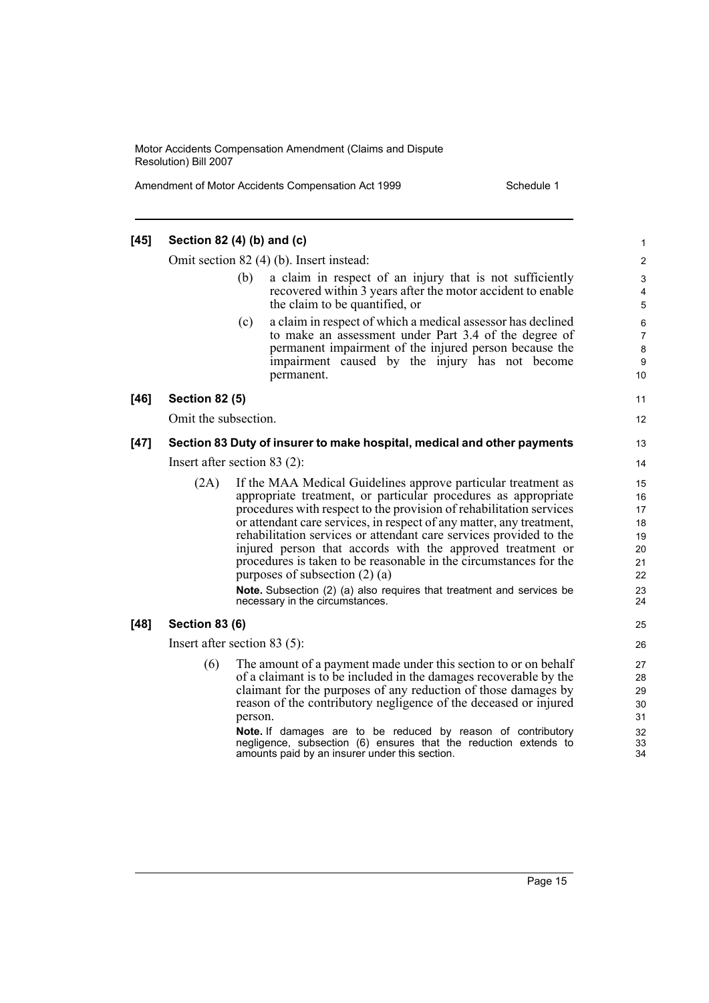Amendment of Motor Accidents Compensation Act 1999 Schedule 1

#### **[45] Section 82 (4) (b) and (c)** Omit section 82 (4) (b). Insert instead: (b) a claim in respect of an injury that is not sufficiently recovered within 3 years after the motor accident to enable the claim to be quantified, or (c) a claim in respect of which a medical assessor has declined to make an assessment under Part 3.4 of the degree of permanent impairment of the injured person because the impairment caused by the injury has not become permanent. **[46] Section 82 (5)** Omit the subsection. **[47] Section 83 Duty of insurer to make hospital, medical and other payments** Insert after section 83 (2): (2A) If the MAA Medical Guidelines approve particular treatment as appropriate treatment, or particular procedures as appropriate procedures with respect to the provision of rehabilitation services or attendant care services, in respect of any matter, any treatment, rehabilitation services or attendant care services provided to the injured person that accords with the approved treatment or procedures is taken to be reasonable in the circumstances for the purposes of subsection (2) (a) **Note.** Subsection (2) (a) also requires that treatment and services be necessary in the circumstances. **[48] Section 83 (6)** Insert after section 83 (5): (6) The amount of a payment made under this section to or on behalf of a claimant is to be included in the damages recoverable by the claimant for the purposes of any reduction of those damages by reason of the contributory negligence of the deceased or injured person. **Note.** If damages are to be reduced by reason of contributory negligence, subsection (6) ensures that the reduction extends to amounts paid by an insurer under this section. 1 2 3 4 5 6 7 8 9 10 11 12 13 14 15 16 17 18 19 20 21 22 23 24 25 26 27 28 29  $30$ 31 32 33  $34$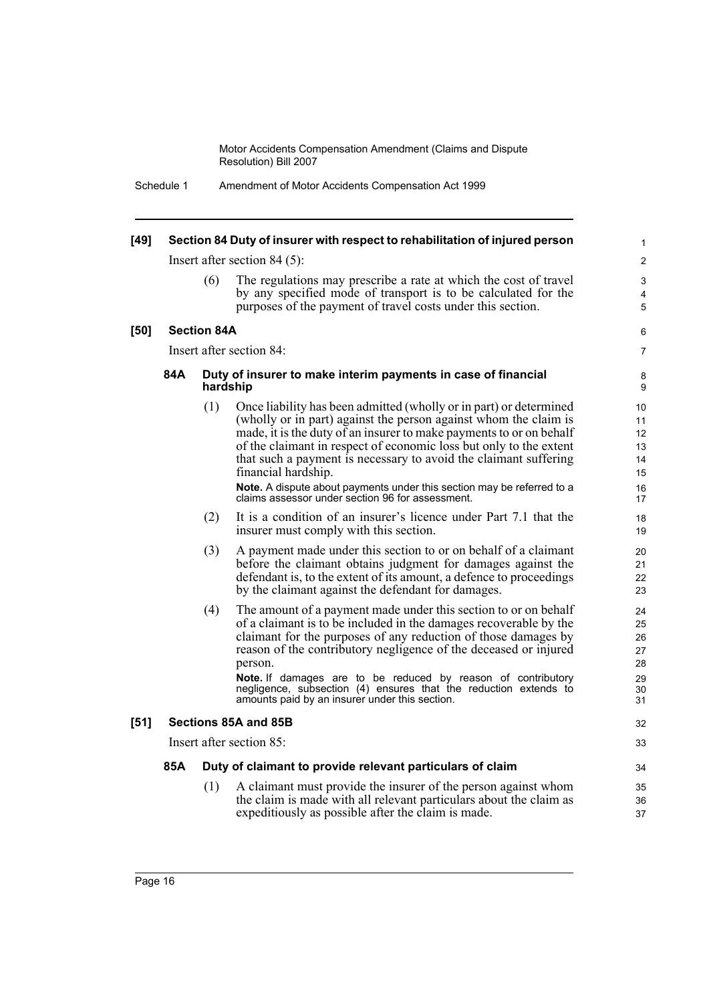Schedule 1 Amendment of Motor Accidents Compensation Act 1999

| $[49]$ |     |                    | Section 84 Duty of insurer with respect to rehabilitation of injured person                                                                                                                                                                                                                                                                                                                                                                                                                                  | 1                                            |
|--------|-----|--------------------|--------------------------------------------------------------------------------------------------------------------------------------------------------------------------------------------------------------------------------------------------------------------------------------------------------------------------------------------------------------------------------------------------------------------------------------------------------------------------------------------------------------|----------------------------------------------|
|        |     |                    | Insert after section $84(5)$ :                                                                                                                                                                                                                                                                                                                                                                                                                                                                               | $\overline{2}$                               |
|        |     | (6)                | The regulations may prescribe a rate at which the cost of travel<br>by any specified mode of transport is to be calculated for the<br>purposes of the payment of travel costs under this section.                                                                                                                                                                                                                                                                                                            | 3<br>$\overline{4}$<br>5                     |
| [50]   |     | <b>Section 84A</b> |                                                                                                                                                                                                                                                                                                                                                                                                                                                                                                              | 6                                            |
|        |     |                    | Insert after section 84:                                                                                                                                                                                                                                                                                                                                                                                                                                                                                     | 7                                            |
|        | 84A | hardship           | Duty of insurer to make interim payments in case of financial                                                                                                                                                                                                                                                                                                                                                                                                                                                | 8<br>9                                       |
|        |     | (1)                | Once liability has been admitted (wholly or in part) or determined<br>(wholly or in part) against the person against whom the claim is<br>made, it is the duty of an insurer to make payments to or on behalf<br>of the claimant in respect of economic loss but only to the extent<br>that such a payment is necessary to avoid the claimant suffering<br>financial hardship.<br>Note. A dispute about payments under this section may be referred to a<br>claims assessor under section 96 for assessment. | 10<br>11<br>12<br>13<br>14<br>15<br>16<br>17 |
|        |     | (2)                | It is a condition of an insurer's licence under Part 7.1 that the<br>insurer must comply with this section.                                                                                                                                                                                                                                                                                                                                                                                                  | 18<br>19                                     |
|        |     | (3)                | A payment made under this section to or on behalf of a claimant<br>before the claimant obtains judgment for damages against the<br>defendant is, to the extent of its amount, a defence to proceedings<br>by the claimant against the defendant for damages.                                                                                                                                                                                                                                                 | 20<br>21<br>22<br>23                         |
|        |     | (4)                | The amount of a payment made under this section to or on behalf<br>of a claimant is to be included in the damages recoverable by the<br>claimant for the purposes of any reduction of those damages by<br>reason of the contributory negligence of the deceased or injured<br>person.<br>Note. If damages are to be reduced by reason of contributory<br>negligence, subsection (4) ensures that the reduction extends to<br>amounts paid by an insurer under this section.                                  | 24<br>25<br>26<br>27<br>28<br>29<br>30<br>31 |
| $[51]$ |     |                    | Sections 85A and 85B                                                                                                                                                                                                                                                                                                                                                                                                                                                                                         | 32                                           |
|        |     |                    | Insert after section 85:                                                                                                                                                                                                                                                                                                                                                                                                                                                                                     | 33                                           |
|        | 85A |                    | Duty of claimant to provide relevant particulars of claim                                                                                                                                                                                                                                                                                                                                                                                                                                                    | 34                                           |
|        |     | (1)                | A claimant must provide the insurer of the person against whom<br>the claim is made with all relevant particulars about the claim as<br>expeditiously as possible after the claim is made.                                                                                                                                                                                                                                                                                                                   | 35<br>36<br>37                               |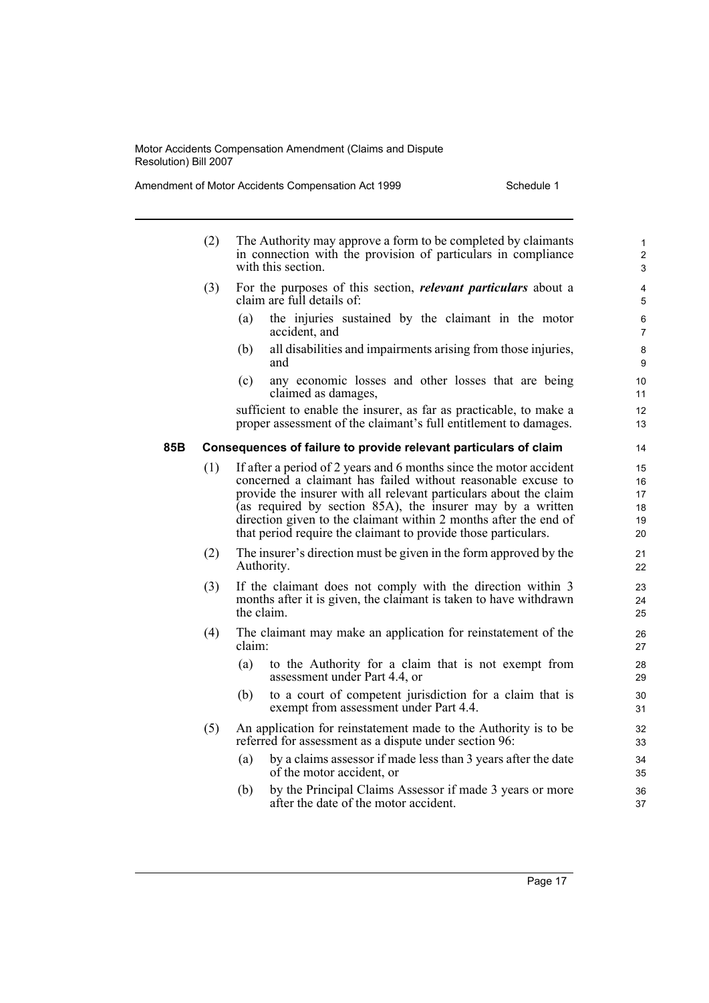Amendment of Motor Accidents Compensation Act 1999 Schedule 1

|     | (2) |                                                                         | The Authority may approve a form to be completed by claimants<br>in connection with the provision of particulars in compliance<br>with this section.                                                                                                                                                                                                                                                        | $\mathbf{1}$<br>$\overline{c}$<br>3 |
|-----|-----|-------------------------------------------------------------------------|-------------------------------------------------------------------------------------------------------------------------------------------------------------------------------------------------------------------------------------------------------------------------------------------------------------------------------------------------------------------------------------------------------------|-------------------------------------|
|     | (3) |                                                                         | For the purposes of this section, <i>relevant particulars</i> about a<br>claim are full details of:                                                                                                                                                                                                                                                                                                         | 4<br>5                              |
|     |     | (a)                                                                     | the injuries sustained by the claimant in the motor<br>accident, and                                                                                                                                                                                                                                                                                                                                        | 6<br>7                              |
|     |     | (b)                                                                     | all disabilities and impairments arising from those injuries,<br>and                                                                                                                                                                                                                                                                                                                                        | 8<br>9                              |
|     |     | (c)                                                                     | any economic losses and other losses that are being<br>claimed as damages,                                                                                                                                                                                                                                                                                                                                  | 10<br>11                            |
|     |     |                                                                         | sufficient to enable the insurer, as far as practicable, to make a<br>proper assessment of the claimant's full entitlement to damages.                                                                                                                                                                                                                                                                      | 12<br>13                            |
| 85B |     |                                                                         | Consequences of failure to provide relevant particulars of claim                                                                                                                                                                                                                                                                                                                                            | 14                                  |
|     | (1) |                                                                         | If after a period of 2 years and 6 months since the motor accident<br>concerned a claimant has failed without reasonable excuse to<br>provide the insurer with all relevant particulars about the claim<br>(as required by section 85A), the insurer may by a written<br>direction given to the claimant within 2 months after the end of<br>that period require the claimant to provide those particulars. | 15<br>16<br>17<br>18<br>19<br>20    |
|     | (2) |                                                                         | The insurer's direction must be given in the form approved by the<br>Authority.                                                                                                                                                                                                                                                                                                                             | 21<br>22                            |
|     | (3) |                                                                         | If the claimant does not comply with the direction within 3<br>months after it is given, the claimant is taken to have withdrawn<br>the claim.                                                                                                                                                                                                                                                              | 23<br>24<br>25                      |
|     | (4) | The claimant may make an application for reinstatement of the<br>claim: |                                                                                                                                                                                                                                                                                                                                                                                                             | 26<br>27                            |
|     |     | (a)                                                                     | to the Authority for a claim that is not exempt from<br>assessment under Part 4.4, or                                                                                                                                                                                                                                                                                                                       | 28<br>29                            |
|     |     | (b)                                                                     | to a court of competent jurisdiction for a claim that is<br>exempt from assessment under Part 4.4.                                                                                                                                                                                                                                                                                                          | 30<br>31                            |
|     | (5) |                                                                         | An application for reinstatement made to the Authority is to be<br>referred for assessment as a dispute under section 96:                                                                                                                                                                                                                                                                                   | 32<br>33                            |
|     |     | (a)                                                                     | by a claims assessor if made less than 3 years after the date<br>of the motor accident, or                                                                                                                                                                                                                                                                                                                  | 34<br>35                            |
|     |     | (b)                                                                     | by the Principal Claims Assessor if made 3 years or more<br>after the date of the motor accident.                                                                                                                                                                                                                                                                                                           | 36<br>37                            |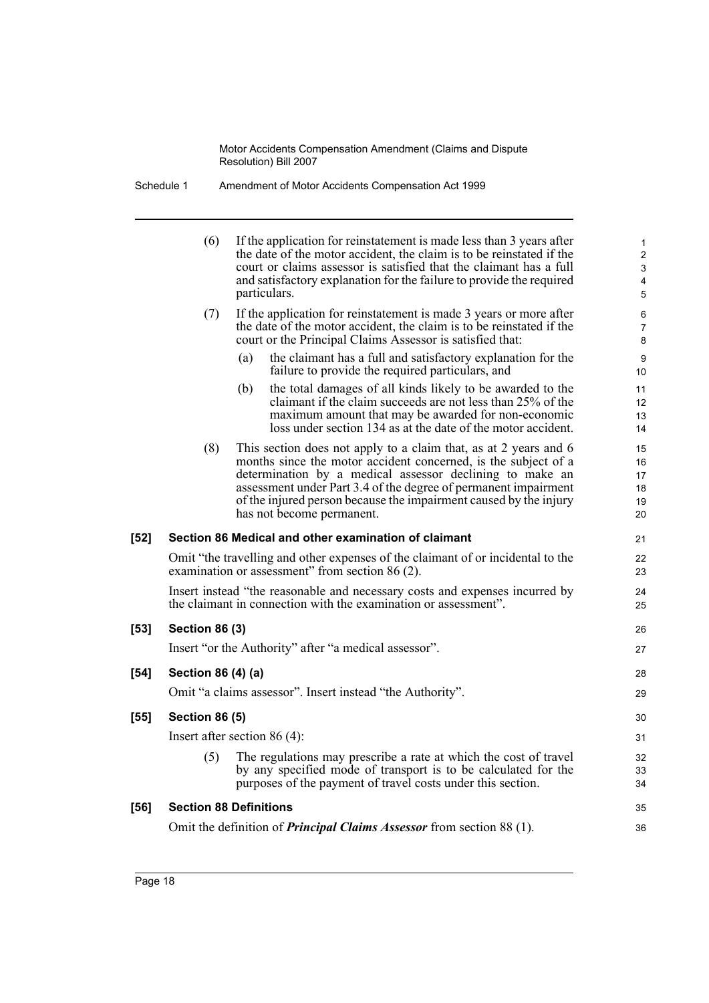| Schedule 1 | Amendment of Motor Accidents Compensation Act 1999 |
|------------|----------------------------------------------------|
|------------|----------------------------------------------------|

|        | (6)                   | If the application for reinstatement is made less than 3 years after<br>the date of the motor accident, the claim is to be reinstated if the<br>court or claims assessor is satisfied that the claimant has a full<br>and satisfactory explanation for the failure to provide the required<br>particulars.                                                          | 1<br>$\mathbf{2}$<br>$\mathbf{3}$<br>4<br>5 |
|--------|-----------------------|---------------------------------------------------------------------------------------------------------------------------------------------------------------------------------------------------------------------------------------------------------------------------------------------------------------------------------------------------------------------|---------------------------------------------|
|        | (7)                   | If the application for reinstatement is made 3 years or more after<br>the date of the motor accident, the claim is to be reinstated if the<br>court or the Principal Claims Assessor is satisfied that:                                                                                                                                                             | 6<br>$\overline{7}$<br>8                    |
|        |                       | the claimant has a full and satisfactory explanation for the<br>(a)<br>failure to provide the required particulars, and                                                                                                                                                                                                                                             | 9<br>10                                     |
|        |                       | the total damages of all kinds likely to be awarded to the<br>(b)<br>claimant if the claim succeeds are not less than 25% of the<br>maximum amount that may be awarded for non-economic<br>loss under section 134 as at the date of the motor accident.                                                                                                             | 11<br>12<br>13<br>14                        |
|        | (8)                   | This section does not apply to a claim that, as at 2 years and 6<br>months since the motor accident concerned, is the subject of a<br>determination by a medical assessor declining to make an<br>assessment under Part 3.4 of the degree of permanent impairment<br>of the injured person because the impairment caused by the injury<br>has not become permanent. | 15<br>16<br>17<br>18<br>19<br>20            |
| $[52]$ |                       | Section 86 Medical and other examination of claimant                                                                                                                                                                                                                                                                                                                | 21                                          |
|        |                       | Omit "the travelling and other expenses of the claimant of or incidental to the<br>examination or assessment" from section 86 (2).                                                                                                                                                                                                                                  | 22<br>23                                    |
|        |                       | Insert instead "the reasonable and necessary costs and expenses incurred by<br>the claimant in connection with the examination or assessment".                                                                                                                                                                                                                      | 24<br>25                                    |
| [53]   | <b>Section 86 (3)</b> |                                                                                                                                                                                                                                                                                                                                                                     | 26                                          |
|        |                       | Insert "or the Authority" after "a medical assessor".                                                                                                                                                                                                                                                                                                               | 27                                          |
| $[54]$ | Section 86 (4) (a)    |                                                                                                                                                                                                                                                                                                                                                                     | 28                                          |
|        |                       | Omit "a claims assessor". Insert instead "the Authority".                                                                                                                                                                                                                                                                                                           | 29                                          |
| [55]   | <b>Section 86 (5)</b> |                                                                                                                                                                                                                                                                                                                                                                     | 30                                          |
|        |                       | Insert after section $86(4)$ :                                                                                                                                                                                                                                                                                                                                      | 31                                          |
|        | (5)                   | The regulations may prescribe a rate at which the cost of travel<br>by any specified mode of transport is to be calculated for the<br>purposes of the payment of travel costs under this section.                                                                                                                                                                   | 32<br>33<br>34                              |
| [56]   |                       | <b>Section 88 Definitions</b>                                                                                                                                                                                                                                                                                                                                       | 35                                          |
|        |                       | Omit the definition of <i>Principal Claims Assessor</i> from section 88 (1).                                                                                                                                                                                                                                                                                        | 36                                          |
|        |                       |                                                                                                                                                                                                                                                                                                                                                                     |                                             |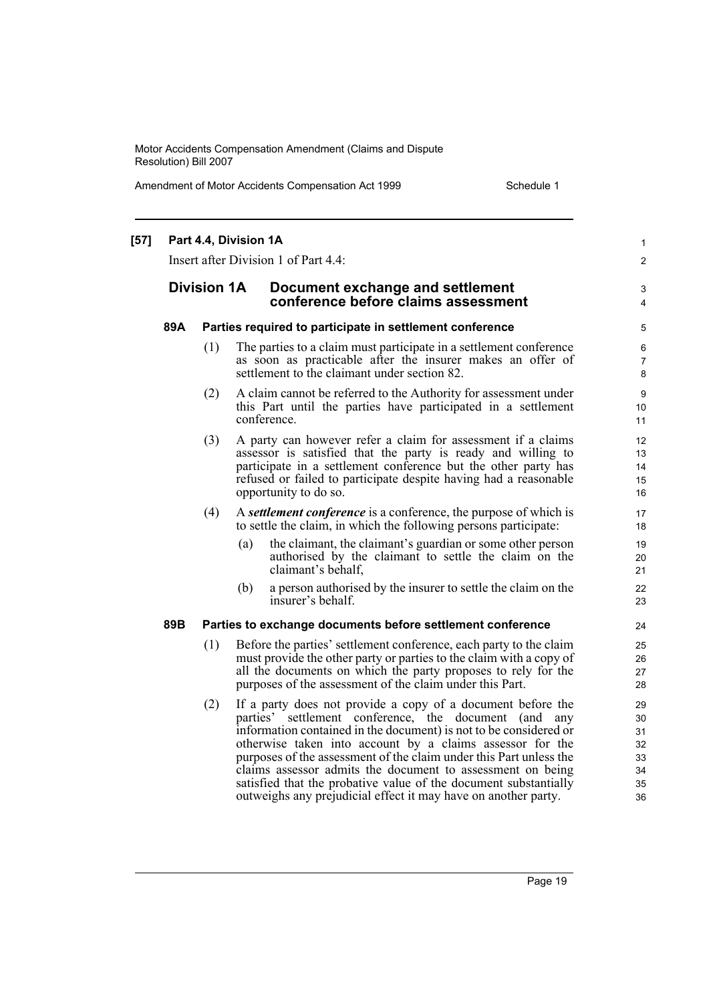Amendment of Motor Accidents Compensation Act 1999 Schedule 1

| $[57]$ |     |                                                          | Part 4.4, Division 1A<br>Insert after Division 1 of Part 4.4:                                                                                                                                                                                                                                                                                                                                                                                                                                                                    | 1<br>$\overline{c}$        |  |  |
|--------|-----|----------------------------------------------------------|----------------------------------------------------------------------------------------------------------------------------------------------------------------------------------------------------------------------------------------------------------------------------------------------------------------------------------------------------------------------------------------------------------------------------------------------------------------------------------------------------------------------------------|----------------------------|--|--|
|        |     | <b>Division 1A</b>                                       | Document exchange and settlement<br>conference before claims assessment                                                                                                                                                                                                                                                                                                                                                                                                                                                          | 3<br>4                     |  |  |
|        | 89A | Parties required to participate in settlement conference |                                                                                                                                                                                                                                                                                                                                                                                                                                                                                                                                  |                            |  |  |
|        |     | (1)                                                      | The parties to a claim must participate in a settlement conference<br>as soon as practicable after the insurer makes an offer of<br>settlement to the claimant under section 82.                                                                                                                                                                                                                                                                                                                                                 | 6<br>7<br>8                |  |  |
|        |     | (2)                                                      | A claim cannot be referred to the Authority for assessment under<br>this Part until the parties have participated in a settlement<br>conference.                                                                                                                                                                                                                                                                                                                                                                                 | 9<br>10<br>11              |  |  |
|        |     | (3)                                                      | A party can however refer a claim for assessment if a claims<br>assessor is satisfied that the party is ready and willing to<br>participate in a settlement conference but the other party has<br>refused or failed to participate despite having had a reasonable<br>opportunity to do so.                                                                                                                                                                                                                                      | 12<br>13<br>14<br>15<br>16 |  |  |
|        |     | (4)                                                      | A settlement conference is a conference, the purpose of which is<br>to settle the claim, in which the following persons participate:                                                                                                                                                                                                                                                                                                                                                                                             | 17<br>18                   |  |  |
|        |     |                                                          | the claimant, the claimant's guardian or some other person<br>(a)<br>authorised by the claimant to settle the claim on the<br>claimant's behalf,                                                                                                                                                                                                                                                                                                                                                                                 | 19<br>20<br>21             |  |  |
|        |     |                                                          | (b)<br>a person authorised by the insurer to settle the claim on the<br>insurer's behalf.                                                                                                                                                                                                                                                                                                                                                                                                                                        | 22<br>23                   |  |  |
|        | 89B |                                                          | Parties to exchange documents before settlement conference                                                                                                                                                                                                                                                                                                                                                                                                                                                                       | 24                         |  |  |
|        |     | (1)                                                      | Before the parties' settlement conference, each party to the claim<br>must provide the other party or parties to the claim with a copy of<br>all the documents on which the party proposes to rely for the<br>purposes of the assessment of the claim under this Part.                                                                                                                                                                                                                                                           | 25<br>26<br>27<br>28       |  |  |
|        |     | (2)                                                      | If a party does not provide a copy of a document before the<br>parties' settlement conference, the document (and any<br>information contained in the document) is not to be considered or<br>otherwise taken into account by a claims assessor for the<br>purposes of the assessment of the claim under this Part unless the<br>claims assessor admits the document to assessment on being<br>satisfied that the probative value of the document substantially<br>outweighs any prejudicial effect it may have on another party. |                            |  |  |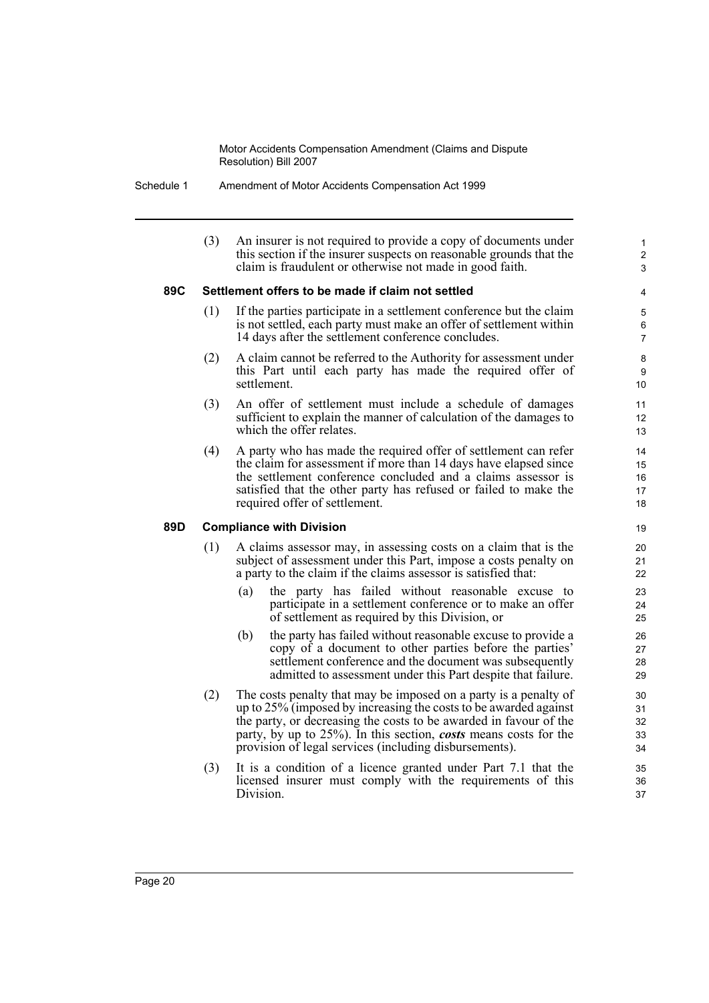Schedule 1 Amendment of Motor Accidents Compensation Act 1999

(3) An insurer is not required to provide a copy of documents under this section if the insurer suspects on reasonable grounds that the claim is fraudulent or otherwise not made in good faith.

1  $\overline{2}$ 3

#### **89C Settlement offers to be made if claim not settled**

- (1) If the parties participate in a settlement conference but the claim is not settled, each party must make an offer of settlement within 14 days after the settlement conference concludes.
- (2) A claim cannot be referred to the Authority for assessment under this Part until each party has made the required offer of settlement.
- (3) An offer of settlement must include a schedule of damages sufficient to explain the manner of calculation of the damages to which the offer relates.
- (4) A party who has made the required offer of settlement can refer the claim for assessment if more than 14 days have elapsed since the settlement conference concluded and a claims assessor is satisfied that the other party has refused or failed to make the required offer of settlement.

#### **89D Compliance with Division**

- (1) A claims assessor may, in assessing costs on a claim that is the subject of assessment under this Part, impose a costs penalty on a party to the claim if the claims assessor is satisfied that:
	- (a) the party has failed without reasonable excuse to participate in a settlement conference or to make an offer of settlement as required by this Division, or
	- (b) the party has failed without reasonable excuse to provide a copy of a document to other parties before the parties' settlement conference and the document was subsequently admitted to assessment under this Part despite that failure.
- (2) The costs penalty that may be imposed on a party is a penalty of up to 25% (imposed by increasing the costs to be awarded against the party, or decreasing the costs to be awarded in favour of the party, by up to 25%). In this section, *costs* means costs for the provision of legal services (including disbursements).
- (3) It is a condition of a licence granted under Part 7.1 that the licensed insurer must comply with the requirements of this Division.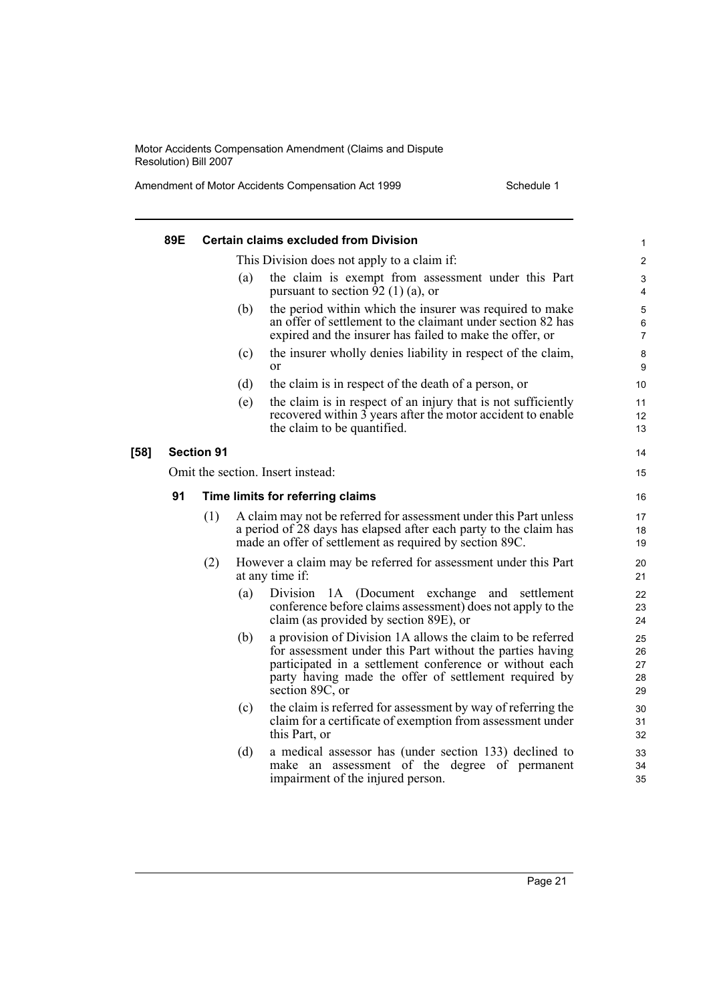Amendment of Motor Accidents Compensation Act 1999 Schedule 1

|        | 89E                               |                   |     | <b>Certain claims excluded from Division</b>                                                                                                                                                                                                                   | 1                          |  |
|--------|-----------------------------------|-------------------|-----|----------------------------------------------------------------------------------------------------------------------------------------------------------------------------------------------------------------------------------------------------------------|----------------------------|--|
|        |                                   |                   |     | This Division does not apply to a claim if:                                                                                                                                                                                                                    | $\overline{2}$             |  |
|        |                                   |                   | (a) | the claim is exempt from assessment under this Part<br>pursuant to section 92 (1) (a), or                                                                                                                                                                      | 3<br>4                     |  |
|        |                                   |                   | (b) | the period within which the insurer was required to make<br>an offer of settlement to the claimant under section 82 has<br>expired and the insurer has failed to make the offer, or                                                                            | 5<br>6<br>7                |  |
|        |                                   |                   | (c) | the insurer wholly denies liability in respect of the claim,<br><sub>or</sub>                                                                                                                                                                                  | 8<br>9                     |  |
|        |                                   |                   | (d) | the claim is in respect of the death of a person, or                                                                                                                                                                                                           | 10                         |  |
|        |                                   |                   | (e) | the claim is in respect of an injury that is not sufficiently<br>recovered within 3 years after the motor accident to enable<br>the claim to be quantified.                                                                                                    | 11<br>12<br>13             |  |
| $[58]$ |                                   | <b>Section 91</b> |     |                                                                                                                                                                                                                                                                | 14                         |  |
|        | Omit the section. Insert instead: |                   |     |                                                                                                                                                                                                                                                                |                            |  |
|        | 91                                |                   |     | Time limits for referring claims                                                                                                                                                                                                                               | 16                         |  |
|        |                                   | (1)               |     | A claim may not be referred for assessment under this Part unless<br>a period of 28 days has elapsed after each party to the claim has<br>made an offer of settlement as required by section 89C.                                                              | 17<br>18<br>19             |  |
|        |                                   | (2)               |     | However a claim may be referred for assessment under this Part<br>at any time if:                                                                                                                                                                              | 20<br>21                   |  |
|        |                                   |                   | (a) | Division<br>1A (Document exchange and settlement<br>conference before claims assessment) does not apply to the<br>claim (as provided by section 89E), or                                                                                                       | 22<br>23<br>24             |  |
|        |                                   |                   | (b) | a provision of Division 1A allows the claim to be referred<br>for assessment under this Part without the parties having<br>participated in a settlement conference or without each<br>party having made the offer of settlement required by<br>section 89C, or | 25<br>26<br>27<br>28<br>29 |  |
|        |                                   |                   | (c) | the claim is referred for assessment by way of referring the<br>claim for a certificate of exemption from assessment under<br>this Part, or                                                                                                                    | 30<br>31<br>32             |  |
|        |                                   |                   | (d) | a medical assessor has (under section 133) declined to<br>make an assessment of the degree of permanent<br>impairment of the injured person.                                                                                                                   | 33<br>34<br>35             |  |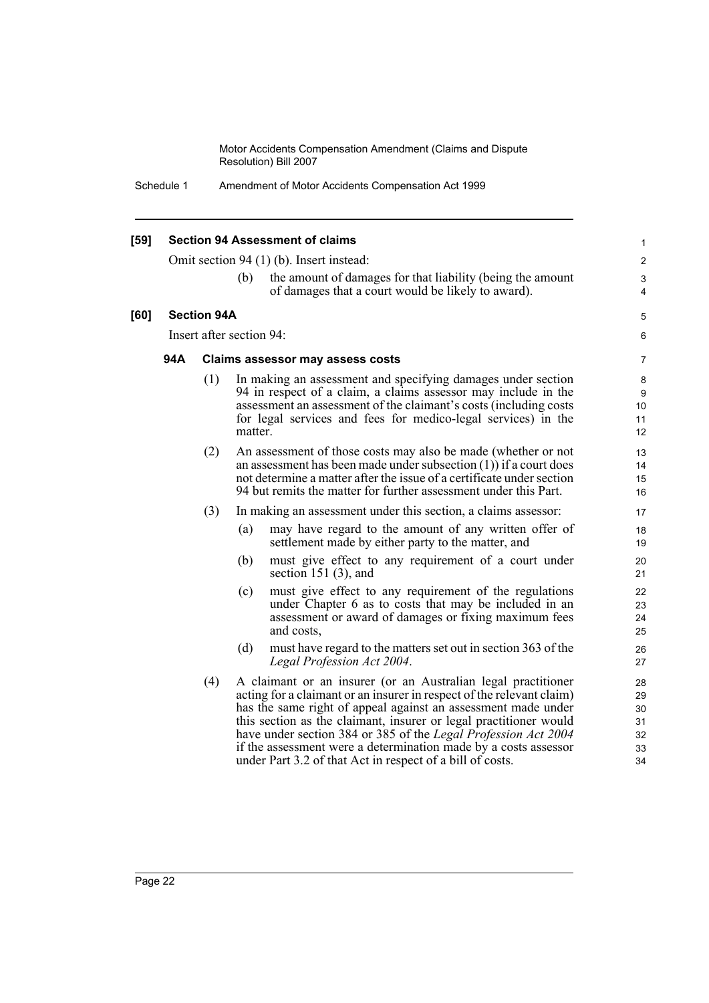Schedule 1 Amendment of Motor Accidents Compensation Act 1999

| $[59]$ | <b>Section 94 Assessment of claims</b> |                          |         |                                                                                                                                                                                                                                                                                                                                                                                                                                                                                | 1                                      |
|--------|----------------------------------------|--------------------------|---------|--------------------------------------------------------------------------------------------------------------------------------------------------------------------------------------------------------------------------------------------------------------------------------------------------------------------------------------------------------------------------------------------------------------------------------------------------------------------------------|----------------------------------------|
|        |                                        |                          |         | Omit section 94 (1) (b). Insert instead:                                                                                                                                                                                                                                                                                                                                                                                                                                       | $\overline{2}$                         |
|        |                                        |                          | (b)     | the amount of damages for that liability (being the amount<br>of damages that a court would be likely to award).                                                                                                                                                                                                                                                                                                                                                               | 3<br>$\overline{4}$                    |
| [60]   |                                        | <b>Section 94A</b>       |         |                                                                                                                                                                                                                                                                                                                                                                                                                                                                                | 5                                      |
|        |                                        | Insert after section 94: |         |                                                                                                                                                                                                                                                                                                                                                                                                                                                                                | 6                                      |
|        | 94A                                    |                          |         | <b>Claims assessor may assess costs</b>                                                                                                                                                                                                                                                                                                                                                                                                                                        | 7                                      |
|        |                                        | (1)                      | matter. | In making an assessment and specifying damages under section<br>94 in respect of a claim, a claims assessor may include in the<br>assessment an assessment of the claimant's costs (including costs)<br>for legal services and fees for medico-legal services) in the                                                                                                                                                                                                          | 8<br>9<br>10<br>11<br>12               |
|        |                                        | (2)                      |         | An assessment of those costs may also be made (whether or not<br>an assessment has been made under subsection $(1)$ ) if a court does<br>not determine a matter after the issue of a certificate under section<br>94 but remits the matter for further assessment under this Part.                                                                                                                                                                                             | 13<br>14<br>15<br>16                   |
|        |                                        | (3)                      |         | In making an assessment under this section, a claims assessor:                                                                                                                                                                                                                                                                                                                                                                                                                 | 17                                     |
|        |                                        |                          | (a)     | may have regard to the amount of any written offer of<br>settlement made by either party to the matter, and                                                                                                                                                                                                                                                                                                                                                                    | 18<br>19                               |
|        |                                        |                          | (b)     | must give effect to any requirement of a court under<br>section 151 $(3)$ , and                                                                                                                                                                                                                                                                                                                                                                                                | 20<br>21                               |
|        |                                        |                          | (c)     | must give effect to any requirement of the regulations<br>under Chapter 6 as to costs that may be included in an<br>assessment or award of damages or fixing maximum fees<br>and costs,                                                                                                                                                                                                                                                                                        | 22<br>23<br>24<br>25                   |
|        |                                        |                          | (d)     | must have regard to the matters set out in section 363 of the<br>Legal Profession Act 2004.                                                                                                                                                                                                                                                                                                                                                                                    | 26<br>27                               |
|        |                                        | (4)                      |         | A claimant or an insurer (or an Australian legal practitioner<br>acting for a claimant or an insurer in respect of the relevant claim)<br>has the same right of appeal against an assessment made under<br>this section as the claimant, insurer or legal practitioner would<br>have under section 384 or 385 of the Legal Profession Act 2004<br>if the assessment were a determination made by a costs assessor<br>under Part 3.2 of that Act in respect of a bill of costs. | 28<br>29<br>30<br>31<br>32<br>33<br>34 |
|        |                                        |                          |         |                                                                                                                                                                                                                                                                                                                                                                                                                                                                                |                                        |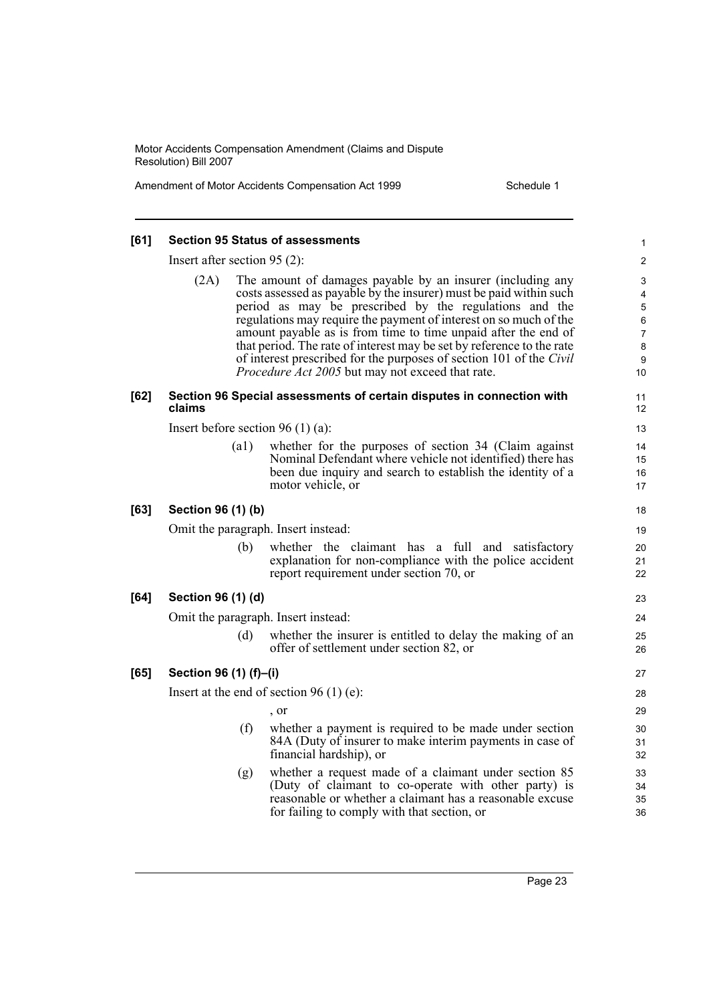Amendment of Motor Accidents Compensation Act 1999 Schedule 1

| [61] |                                     |      | <b>Section 95 Status of assessments</b>                                                                                                                                                                                                                                                                                                                                                                                                                                                                                               | 1                    |  |  |
|------|-------------------------------------|------|---------------------------------------------------------------------------------------------------------------------------------------------------------------------------------------------------------------------------------------------------------------------------------------------------------------------------------------------------------------------------------------------------------------------------------------------------------------------------------------------------------------------------------------|----------------------|--|--|
|      | Insert after section $95(2)$ :      |      |                                                                                                                                                                                                                                                                                                                                                                                                                                                                                                                                       | $\mathbf{2}$         |  |  |
|      | (2A)                                |      | The amount of damages payable by an insurer (including any<br>costs assessed as payable by the insurer) must be paid within such<br>period as may be prescribed by the regulations and the<br>regulations may require the payment of interest on so much of the<br>amount payable as is from time to time unpaid after the end of<br>that period. The rate of interest may be set by reference to the rate<br>of interest prescribed for the purposes of section 101 of the Civil<br>Procedure Act 2005 but may not exceed that rate. |                      |  |  |
| [62] | claims                              |      | Section 96 Special assessments of certain disputes in connection with                                                                                                                                                                                                                                                                                                                                                                                                                                                                 | 11<br>12             |  |  |
|      |                                     |      | Insert before section 96 (1) (a):                                                                                                                                                                                                                                                                                                                                                                                                                                                                                                     | 13                   |  |  |
|      |                                     | (a1) | whether for the purposes of section 34 (Claim against<br>Nominal Defendant where vehicle not identified) there has<br>been due inquiry and search to establish the identity of a<br>motor vehicle, or                                                                                                                                                                                                                                                                                                                                 | 14<br>15<br>16<br>17 |  |  |
| [63] | Section 96 (1) (b)                  |      |                                                                                                                                                                                                                                                                                                                                                                                                                                                                                                                                       | 18                   |  |  |
|      | Omit the paragraph. Insert instead: |      |                                                                                                                                                                                                                                                                                                                                                                                                                                                                                                                                       | 19                   |  |  |
|      |                                     | (b)  | whether the claimant has a full and satisfactory<br>explanation for non-compliance with the police accident<br>report requirement under section 70, or                                                                                                                                                                                                                                                                                                                                                                                | 20<br>21<br>22       |  |  |
| [64] | Section 96 (1) (d)                  |      |                                                                                                                                                                                                                                                                                                                                                                                                                                                                                                                                       | 23                   |  |  |
|      |                                     |      | Omit the paragraph. Insert instead:                                                                                                                                                                                                                                                                                                                                                                                                                                                                                                   | 24                   |  |  |
|      |                                     | (d)  | whether the insurer is entitled to delay the making of an<br>offer of settlement under section 82, or                                                                                                                                                                                                                                                                                                                                                                                                                                 | 25<br>26             |  |  |
| [65] | Section 96 (1) (f)-(i)              |      |                                                                                                                                                                                                                                                                                                                                                                                                                                                                                                                                       | 27                   |  |  |
|      |                                     |      | Insert at the end of section 96 (1) (e):                                                                                                                                                                                                                                                                                                                                                                                                                                                                                              | 28                   |  |  |
|      |                                     |      | $\cdot$ or                                                                                                                                                                                                                                                                                                                                                                                                                                                                                                                            | 29                   |  |  |
|      |                                     | (f)  | whether a payment is required to be made under section<br>84A (Duty of insurer to make interim payments in case of<br>financial hardship), or                                                                                                                                                                                                                                                                                                                                                                                         | 30<br>31<br>32       |  |  |
|      |                                     | (g)  | whether a request made of a claimant under section 85<br>(Duty of claimant to co-operate with other party) is<br>reasonable or whether a claimant has a reasonable excuse<br>for failing to comply with that section, or                                                                                                                                                                                                                                                                                                              | 33<br>34<br>35<br>36 |  |  |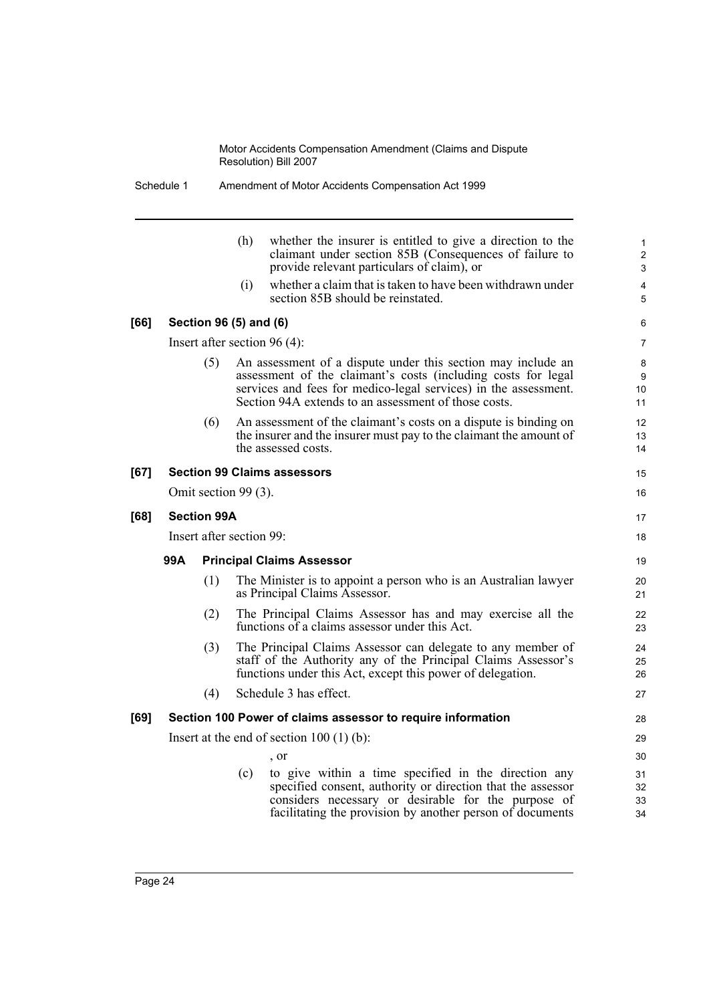|      | Schedule 1 |                    |                          | Amendment of Motor Accidents Compensation Act 1999                                                                                                                                                                                                       |                                     |
|------|------------|--------------------|--------------------------|----------------------------------------------------------------------------------------------------------------------------------------------------------------------------------------------------------------------------------------------------------|-------------------------------------|
|      |            |                    | (h)                      | whether the insurer is entitled to give a direction to the<br>claimant under section 85B (Consequences of failure to<br>provide relevant particulars of claim), or                                                                                       | $\mathbf{1}$<br>$\overline{c}$<br>3 |
|      |            |                    | (i)                      | whether a claim that is taken to have been withdrawn under<br>section 85B should be reinstated.                                                                                                                                                          | 4<br>5                              |
| [66] |            |                    | Section 96 (5) and (6)   |                                                                                                                                                                                                                                                          | 6                                   |
|      |            |                    |                          | Insert after section $96(4)$ :                                                                                                                                                                                                                           | 7                                   |
|      |            | (5)                |                          | An assessment of a dispute under this section may include an<br>assessment of the claimant's costs (including costs for legal<br>services and fees for medico-legal services) in the assessment.<br>Section 94A extends to an assessment of those costs. | 8<br>9<br>10<br>11                  |
|      |            | (6)                |                          | An assessment of the claimant's costs on a dispute is binding on<br>the insurer and the insurer must pay to the claimant the amount of<br>the assessed costs.                                                                                            | 12<br>13<br>14                      |
| [67] |            |                    |                          | <b>Section 99 Claims assessors</b>                                                                                                                                                                                                                       | 15                                  |
|      |            |                    | Omit section 99 (3).     |                                                                                                                                                                                                                                                          | 16                                  |
| [68] |            | <b>Section 99A</b> |                          |                                                                                                                                                                                                                                                          | 17                                  |
|      |            |                    | Insert after section 99: |                                                                                                                                                                                                                                                          | 18                                  |
|      | 99A        |                    |                          | <b>Principal Claims Assessor</b>                                                                                                                                                                                                                         | 19                                  |
|      |            | (1)                |                          | The Minister is to appoint a person who is an Australian lawyer<br>as Principal Claims Assessor.                                                                                                                                                         | 20<br>21                            |
|      |            | (2)                |                          | The Principal Claims Assessor has and may exercise all the<br>functions of a claims assessor under this Act.                                                                                                                                             | 22<br>23                            |
|      |            | (3)                |                          | The Principal Claims Assessor can delegate to any member of<br>staff of the Authority any of the Principal Claims Assessor's<br>functions under this Act, except this power of delegation.                                                               | 24<br>25<br>26                      |
|      |            | (4)                |                          | Schedule 3 has effect.                                                                                                                                                                                                                                   | 27                                  |
| [69] |            |                    |                          | Section 100 Power of claims assessor to require information                                                                                                                                                                                              | 28                                  |
|      |            |                    |                          | Insert at the end of section $100(1)(b)$ :                                                                                                                                                                                                               | 29                                  |
|      |            |                    |                          | , or                                                                                                                                                                                                                                                     | 30                                  |
|      |            |                    | (c)                      | to give within a time specified in the direction any<br>specified consent, authority or direction that the assessor<br>considers necessary or desirable for the purpose of<br>facilitating the provision by another person of documents                  | 31<br>32<br>33<br>34                |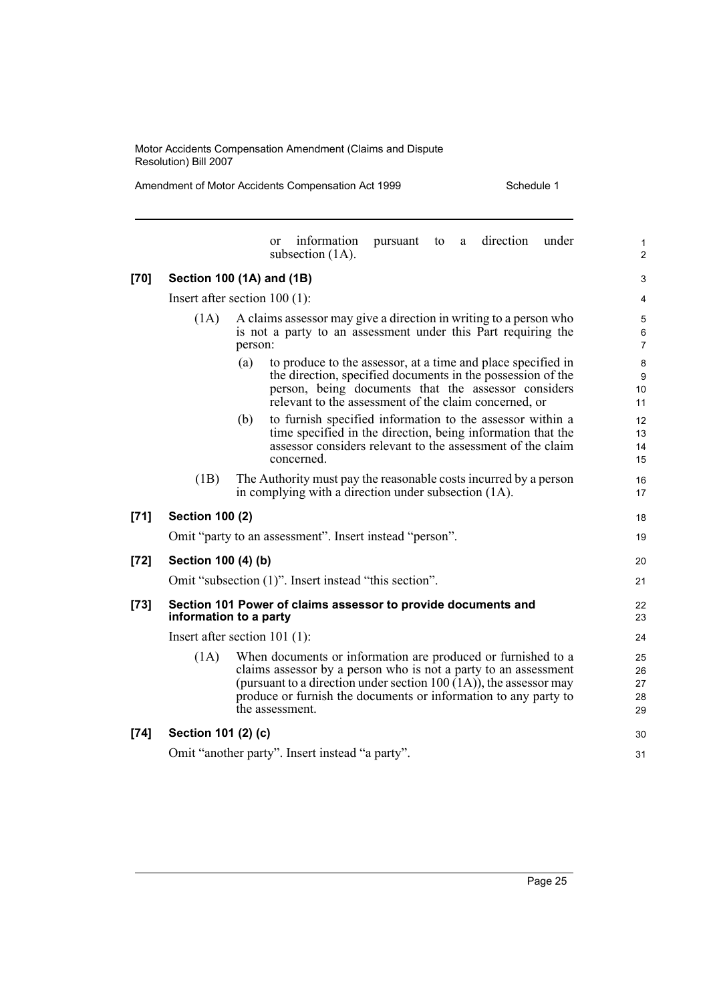Amendment of Motor Accidents Compensation Act 1999 Schedule 1

|        |                        | information<br>direction<br>under<br>pursuant<br>to<br>a<br>$\alpha$<br>subsection $(1A)$ .                                                                                                                                                                                                   | $\mathbf{1}$<br>$\overline{2}$ |  |  |  |  |  |
|--------|------------------------|-----------------------------------------------------------------------------------------------------------------------------------------------------------------------------------------------------------------------------------------------------------------------------------------------|--------------------------------|--|--|--|--|--|
| [70]   |                        | Section 100 (1A) and (1B)                                                                                                                                                                                                                                                                     | 3                              |  |  |  |  |  |
|        |                        | Insert after section $100(1)$ :                                                                                                                                                                                                                                                               | 4                              |  |  |  |  |  |
|        | (1A)                   | A claims assessor may give a direction in writing to a person who<br>is not a party to an assessment under this Part requiring the<br>person:                                                                                                                                                 | 5<br>6<br>$\overline{7}$       |  |  |  |  |  |
|        |                        | to produce to the assessor, at a time and place specified in<br>(a)<br>the direction, specified documents in the possession of the<br>person, being documents that the assessor considers<br>relevant to the assessment of the claim concerned, or                                            | $\bf8$<br>9<br>10<br>11        |  |  |  |  |  |
|        |                        | to furnish specified information to the assessor within a<br>(b)<br>time specified in the direction, being information that the<br>assessor considers relevant to the assessment of the claim<br>concerned.                                                                                   | 12<br>13<br>14<br>15           |  |  |  |  |  |
|        | (1B)                   | The Authority must pay the reasonable costs incurred by a person<br>in complying with a direction under subsection (1A).                                                                                                                                                                      | 16<br>17                       |  |  |  |  |  |
| $[71]$ | <b>Section 100 (2)</b> |                                                                                                                                                                                                                                                                                               | 18                             |  |  |  |  |  |
|        |                        | Omit "party to an assessment". Insert instead "person".                                                                                                                                                                                                                                       | 19                             |  |  |  |  |  |
| $[72]$ | Section 100 (4) (b)    |                                                                                                                                                                                                                                                                                               |                                |  |  |  |  |  |
|        |                        | Omit "subsection (1)". Insert instead "this section".                                                                                                                                                                                                                                         | 21                             |  |  |  |  |  |
| $[73]$ |                        | Section 101 Power of claims assessor to provide documents and<br>information to a party                                                                                                                                                                                                       | 22<br>23                       |  |  |  |  |  |
|        |                        | Insert after section $101$ (1):                                                                                                                                                                                                                                                               | 24                             |  |  |  |  |  |
|        | (1A)                   | When documents or information are produced or furnished to a<br>claims assessor by a person who is not a party to an assessment<br>(pursuant to a direction under section $100(1A)$ ), the assessor may<br>produce or furnish the documents or information to any party to<br>the assessment. | 25<br>26<br>27<br>28<br>29     |  |  |  |  |  |
| [74]   | Section 101 (2) (c)    |                                                                                                                                                                                                                                                                                               | 30                             |  |  |  |  |  |
|        |                        | Omit "another party". Insert instead "a party".                                                                                                                                                                                                                                               | 31                             |  |  |  |  |  |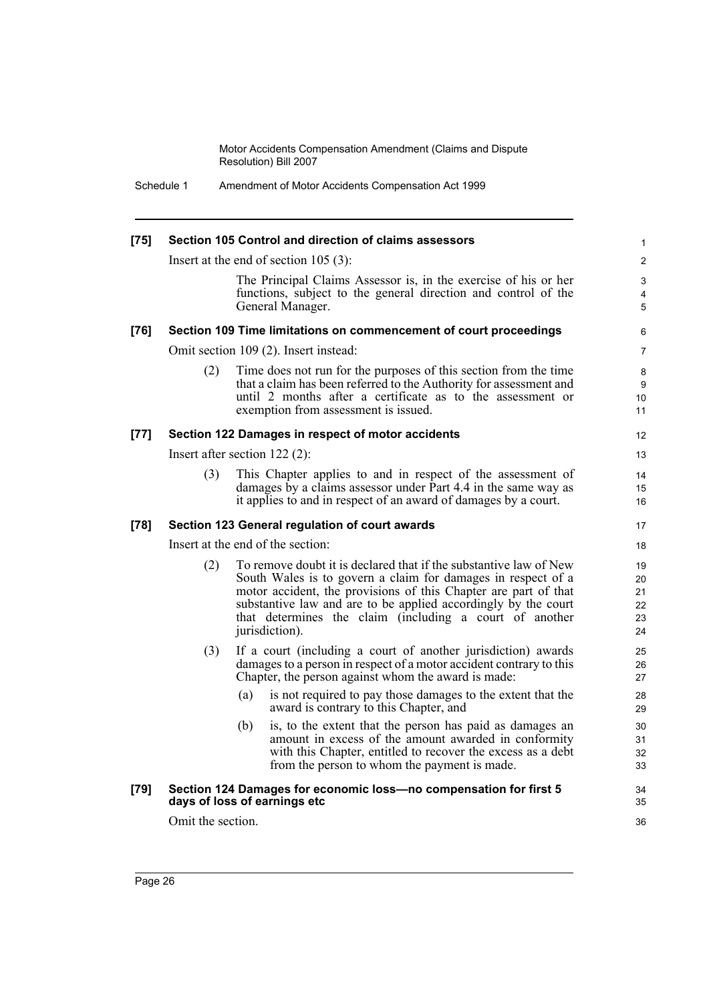Schedule 1 Amendment of Motor Accidents Compensation Act 1999

| $[75]$ | Section 105 Control and direction of claims assessors |                                                                                                                                                                                                                                                                                                                                                     |                                  |  |
|--------|-------------------------------------------------------|-----------------------------------------------------------------------------------------------------------------------------------------------------------------------------------------------------------------------------------------------------------------------------------------------------------------------------------------------------|----------------------------------|--|
|        |                                                       | Insert at the end of section $105$ (3):                                                                                                                                                                                                                                                                                                             | $\overline{2}$                   |  |
|        |                                                       | The Principal Claims Assessor is, in the exercise of his or her<br>functions, subject to the general direction and control of the<br>General Manager.                                                                                                                                                                                               | 3<br>4<br>5                      |  |
| $[76]$ |                                                       | Section 109 Time limitations on commencement of court proceedings                                                                                                                                                                                                                                                                                   | 6                                |  |
|        |                                                       | Omit section 109 (2). Insert instead:                                                                                                                                                                                                                                                                                                               | $\overline{7}$                   |  |
|        | (2)                                                   | Time does not run for the purposes of this section from the time<br>that a claim has been referred to the Authority for assessment and<br>until 2 months after a certificate as to the assessment or<br>exemption from assessment is issued.                                                                                                        | 8<br>9<br>10<br>11               |  |
| $[77]$ |                                                       | Section 122 Damages in respect of motor accidents                                                                                                                                                                                                                                                                                                   | $12 \overline{ }$                |  |
|        |                                                       | Insert after section $122(2)$ :                                                                                                                                                                                                                                                                                                                     | 13                               |  |
|        | (3)                                                   | This Chapter applies to and in respect of the assessment of<br>damages by a claims assessor under Part 4.4 in the same way as<br>it applies to and in respect of an award of damages by a court.                                                                                                                                                    | 14<br>15<br>16                   |  |
| $[78]$ |                                                       | Section 123 General regulation of court awards                                                                                                                                                                                                                                                                                                      | 17                               |  |
|        |                                                       | Insert at the end of the section:                                                                                                                                                                                                                                                                                                                   | 18                               |  |
|        | (2)                                                   | To remove doubt it is declared that if the substantive law of New<br>South Wales is to govern a claim for damages in respect of a<br>motor accident, the provisions of this Chapter are part of that<br>substantive law and are to be applied accordingly by the court<br>that determines the claim (including a court of another<br>jurisdiction). | 19<br>20<br>21<br>22<br>23<br>24 |  |
|        | (3)                                                   | If a court (including a court of another jurisdiction) awards<br>damages to a person in respect of a motor accident contrary to this<br>Chapter, the person against whom the award is made:                                                                                                                                                         | 25<br>26<br>27                   |  |
|        |                                                       | is not required to pay those damages to the extent that the<br>(a)<br>award is contrary to this Chapter, and                                                                                                                                                                                                                                        | 28<br>29                         |  |
|        |                                                       | is, to the extent that the person has paid as damages an<br>(b)<br>amount in excess of the amount awarded in conformity<br>with this Chapter, entitled to recover the excess as a debt<br>from the person to whom the payment is made.                                                                                                              | 30<br>31<br>32<br>33             |  |
| $[79]$ |                                                       | Section 124 Damages for economic loss-no compensation for first 5<br>days of loss of earnings etc                                                                                                                                                                                                                                                   | 34<br>35                         |  |
|        | Omit the section.                                     |                                                                                                                                                                                                                                                                                                                                                     | 36                               |  |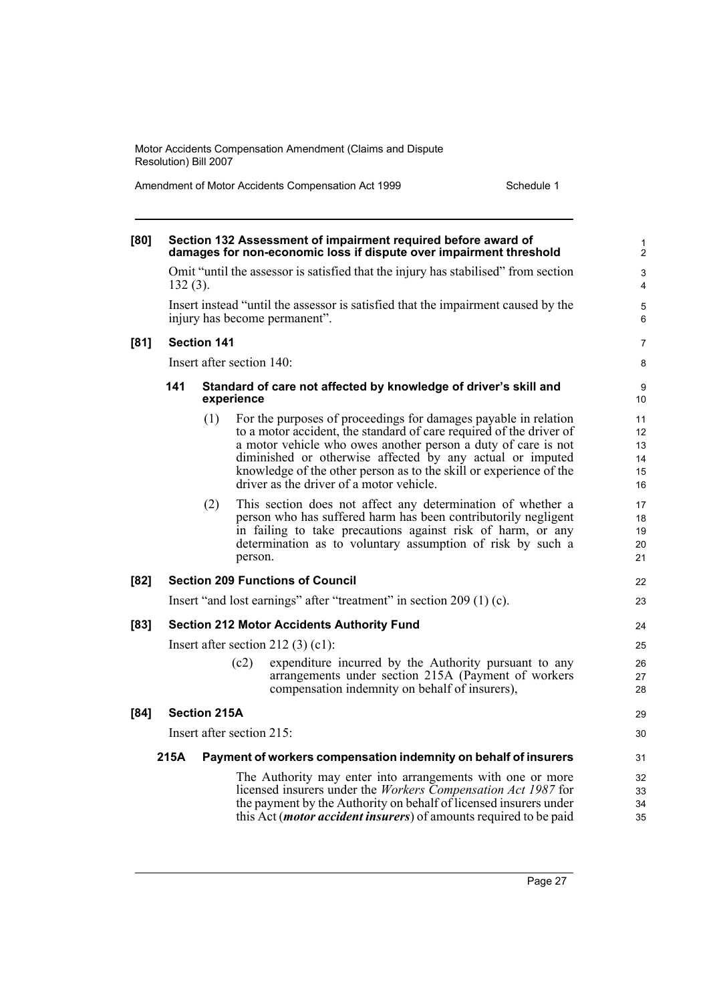|  |  |  | Amendment of Motor Accidents Compensation Act 1999 |  |
|--|--|--|----------------------------------------------------|--|
|--|--|--|----------------------------------------------------|--|

Schedule 1

| [80] |                                                                                                                    |                     |                           | Section 132 Assessment of impairment required before award of<br>damages for non-economic loss if dispute over impairment threshold                                                                                                                                                                                                                                                    | $\mathbf{1}$<br>$\mathbf{2}$     |  |  |
|------|--------------------------------------------------------------------------------------------------------------------|---------------------|---------------------------|----------------------------------------------------------------------------------------------------------------------------------------------------------------------------------------------------------------------------------------------------------------------------------------------------------------------------------------------------------------------------------------|----------------------------------|--|--|
|      | Omit "until the assessor is satisfied that the injury has stabilised" from section<br>$132(3)$ .                   |                     |                           |                                                                                                                                                                                                                                                                                                                                                                                        |                                  |  |  |
|      | Insert instead "until the assessor is satisfied that the impairment caused by the<br>injury has become permanent". |                     |                           |                                                                                                                                                                                                                                                                                                                                                                                        |                                  |  |  |
| [81] |                                                                                                                    | <b>Section 141</b>  |                           |                                                                                                                                                                                                                                                                                                                                                                                        | 7                                |  |  |
|      |                                                                                                                    |                     | Insert after section 140: |                                                                                                                                                                                                                                                                                                                                                                                        | 8                                |  |  |
|      | 141                                                                                                                |                     | experience                | Standard of care not affected by knowledge of driver's skill and                                                                                                                                                                                                                                                                                                                       | 9<br>10                          |  |  |
|      |                                                                                                                    | (1)                 |                           | For the purposes of proceedings for damages payable in relation<br>to a motor accident, the standard of care required of the driver of<br>a motor vehicle who owes another person a duty of care is not<br>diminished or otherwise affected by any actual or imputed<br>knowledge of the other person as to the skill or experience of the<br>driver as the driver of a motor vehicle. | 11<br>12<br>13<br>14<br>15<br>16 |  |  |
|      |                                                                                                                    | (2)                 | person.                   | This section does not affect any determination of whether a<br>person who has suffered harm has been contributorily negligent<br>in failing to take precautions against risk of harm, or any<br>determination as to voluntary assumption of risk by such a                                                                                                                             | 17<br>18<br>19<br>20<br>21       |  |  |
| [82] |                                                                                                                    |                     |                           | <b>Section 209 Functions of Council</b>                                                                                                                                                                                                                                                                                                                                                | 22                               |  |  |
|      |                                                                                                                    |                     |                           | Insert "and lost earnings" after "treatment" in section 209 (1) (c).                                                                                                                                                                                                                                                                                                                   | 23                               |  |  |
| [83] |                                                                                                                    |                     |                           | <b>Section 212 Motor Accidents Authority Fund</b>                                                                                                                                                                                                                                                                                                                                      | 24                               |  |  |
|      |                                                                                                                    |                     |                           | Insert after section 212 $(3)$ $(c1)$ :                                                                                                                                                                                                                                                                                                                                                | 25                               |  |  |
|      |                                                                                                                    |                     | (c2)                      | expenditure incurred by the Authority pursuant to any<br>arrangements under section 215A (Payment of workers<br>compensation indemnity on behalf of insurers),                                                                                                                                                                                                                         | 26<br>27<br>28                   |  |  |
| [84] |                                                                                                                    | <b>Section 215A</b> |                           |                                                                                                                                                                                                                                                                                                                                                                                        | 29                               |  |  |
|      |                                                                                                                    |                     | Insert after section 215: |                                                                                                                                                                                                                                                                                                                                                                                        | 30                               |  |  |
|      | 215A                                                                                                               |                     |                           | Payment of workers compensation indemnity on behalf of insurers                                                                                                                                                                                                                                                                                                                        | 31                               |  |  |
|      |                                                                                                                    |                     |                           | The Authority may enter into arrangements with one or more<br>licensed insurers under the <i>Workers Compensation Act 1987</i> for<br>the payment by the Authority on behalf of licensed insurers under<br>this Act ( <i>motor accident insurers</i> ) of amounts required to be paid                                                                                                  | 32<br>33<br>34<br>35             |  |  |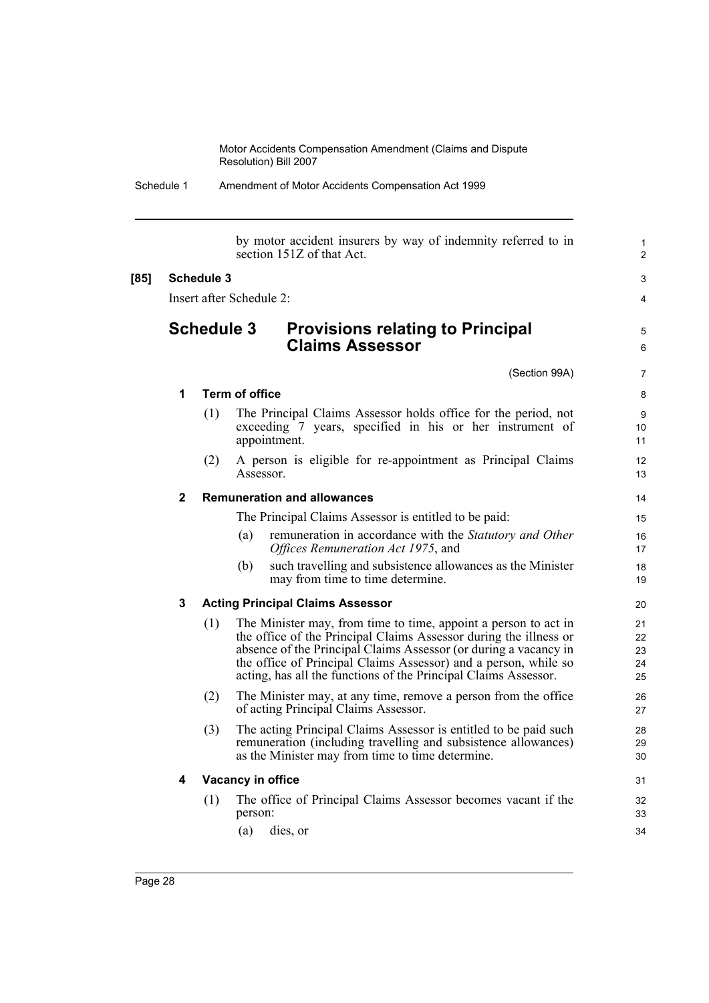Schedule 1 Amendment of Motor Accidents Compensation Act 1999

by motor accident insurers by way of indemnity referred to in section 151Z of that Act. **[85] Schedule 3** Insert after Schedule 2: **Schedule 3 Provisions relating to Principal Claims Assessor** (Section 99A) **1 Term of office** (1) The Principal Claims Assessor holds office for the period, not exceeding 7 years, specified in his or her instrument of appointment. (2) A person is eligible for re-appointment as Principal Claims Assessor. **2 Remuneration and allowances** The Principal Claims Assessor is entitled to be paid: (a) remuneration in accordance with the *Statutory and Other Offices Remuneration Act 1975*, and (b) such travelling and subsistence allowances as the Minister may from time to time determine. **3 Acting Principal Claims Assessor** (1) The Minister may, from time to time, appoint a person to act in the office of the Principal Claims Assessor during the illness or absence of the Principal Claims Assessor (or during a vacancy in the office of Principal Claims Assessor) and a person, while so acting, has all the functions of the Principal Claims Assessor. (2) The Minister may, at any time, remove a person from the office of acting Principal Claims Assessor. (3) The acting Principal Claims Assessor is entitled to be paid such remuneration (including travelling and subsistence allowances) as the Minister may from time to time determine. **4 Vacancy in office** (1) The office of Principal Claims Assessor becomes vacant if the person: (a) dies, or 1  $\overline{2}$ 3 4 5 6 7 8 9 10 11 12 13 14 15 16 17 18 19 20 21  $22$ 23  $24$ 25 26 27 28 29 30 31 32 33 34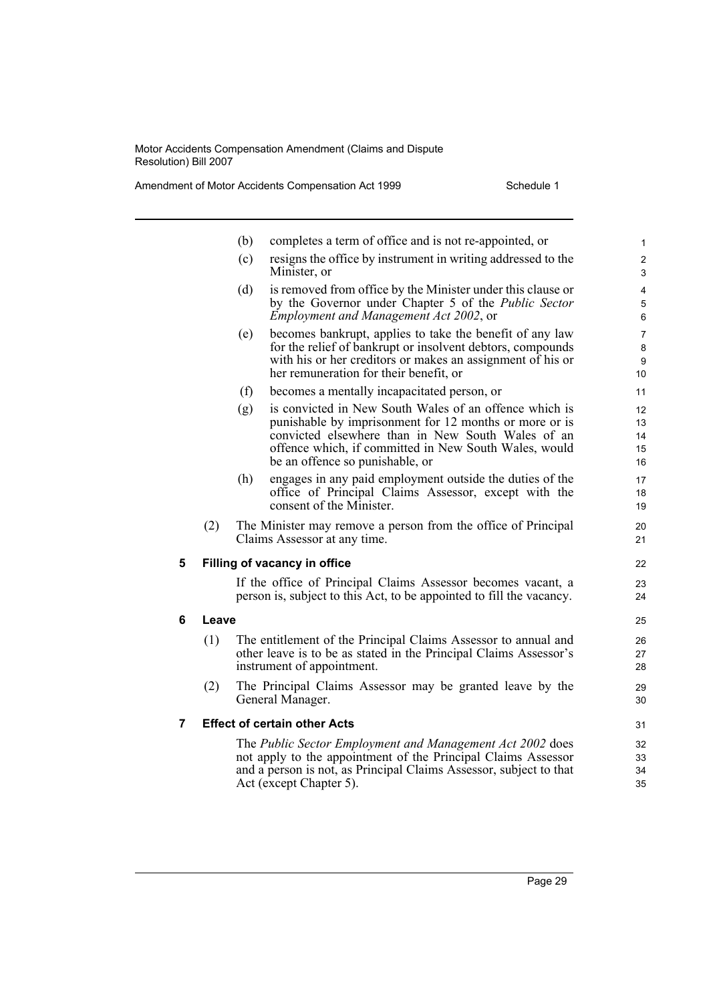Amendment of Motor Accidents Compensation Act 1999 Schedule 1

|   |       | (b) | completes a term of office and is not re-appointed, or                                                                                                                                                                                                            | 1                                 |
|---|-------|-----|-------------------------------------------------------------------------------------------------------------------------------------------------------------------------------------------------------------------------------------------------------------------|-----------------------------------|
|   |       | (c) | resigns the office by instrument in writing addressed to the<br>Minister, or                                                                                                                                                                                      | $\overline{c}$<br>3               |
|   |       | (d) | is removed from office by the Minister under this clause or<br>by the Governor under Chapter 5 of the <i>Public Sector</i><br><i>Employment and Management Act 2002, or</i>                                                                                       | $\overline{\mathbf{4}}$<br>5<br>6 |
|   |       | (e) | becomes bankrupt, applies to take the benefit of any law<br>for the relief of bankrupt or insolvent debtors, compounds<br>with his or her creditors or makes an assignment of his or<br>her remuneration for their benefit, or                                    | $\overline{7}$<br>8<br>9<br>10    |
|   |       | (f) | becomes a mentally incapacitated person, or                                                                                                                                                                                                                       | 11                                |
|   |       | (g) | is convicted in New South Wales of an offence which is<br>punishable by imprisonment for 12 months or more or is<br>convicted elsewhere than in New South Wales of an<br>offence which, if committed in New South Wales, would<br>be an offence so punishable, or | 12<br>13<br>14<br>15<br>16        |
|   |       | (h) | engages in any paid employment outside the duties of the<br>office of Principal Claims Assessor, except with the<br>consent of the Minister.                                                                                                                      | 17<br>18<br>19                    |
|   | (2)   |     | The Minister may remove a person from the office of Principal<br>Claims Assessor at any time.                                                                                                                                                                     | 20<br>21                          |
| 5 |       |     | Filling of vacancy in office                                                                                                                                                                                                                                      | 22                                |
|   |       |     | If the office of Principal Claims Assessor becomes vacant, a<br>person is, subject to this Act, to be appointed to fill the vacancy.                                                                                                                              | 23<br>24                          |
| 6 | Leave |     |                                                                                                                                                                                                                                                                   | 25                                |
|   | (1)   |     | The entitlement of the Principal Claims Assessor to annual and<br>other leave is to be as stated in the Principal Claims Assessor's<br>instrument of appointment.                                                                                                 | 26<br>27<br>28                    |
|   | (2)   |     | The Principal Claims Assessor may be granted leave by the<br>General Manager.                                                                                                                                                                                     | 29<br>30                          |
| 7 |       |     | <b>Effect of certain other Acts</b>                                                                                                                                                                                                                               | 31                                |
|   |       |     | The Public Sector Employment and Management Act 2002 does<br>not apply to the appointment of the Principal Claims Assessor<br>and a person is not, as Principal Claims Assessor, subject to that<br>Act (except Chapter 5).                                       | 32<br>33<br>34<br>35              |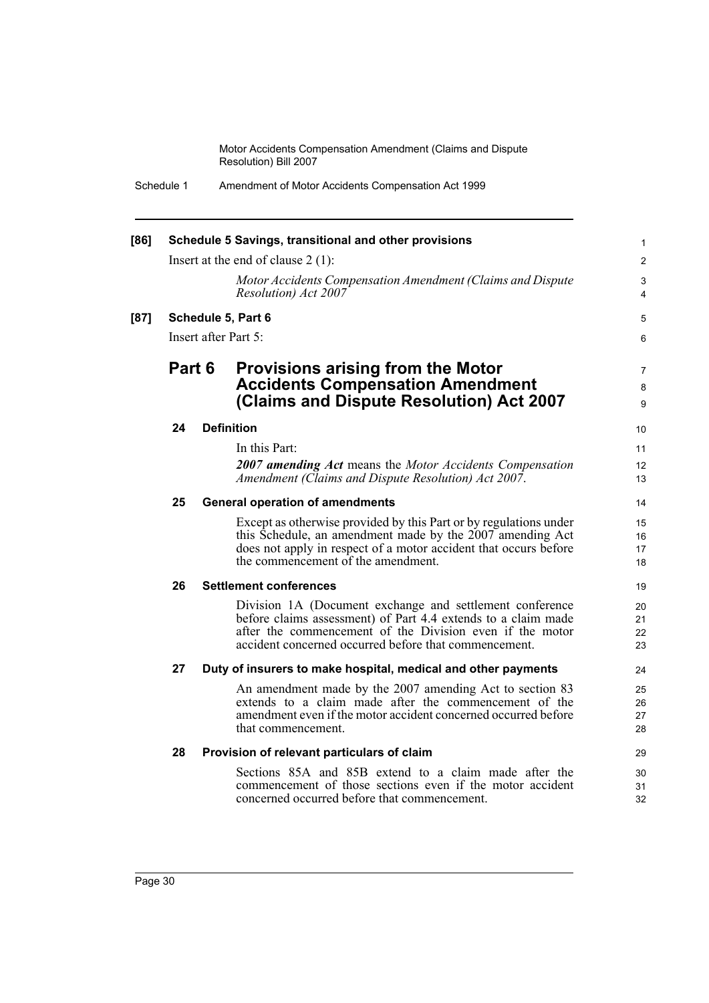| [86] |        | Schedule 5 Savings, transitional and other provisions                                                                                                                                                                                          | 1                    |
|------|--------|------------------------------------------------------------------------------------------------------------------------------------------------------------------------------------------------------------------------------------------------|----------------------|
|      |        | Insert at the end of clause $2(1)$ :                                                                                                                                                                                                           | $\overline{2}$       |
|      |        | Motor Accidents Compensation Amendment (Claims and Dispute<br>Resolution) Act 2007                                                                                                                                                             | 3<br>$\overline{4}$  |
| [87] |        | Schedule 5, Part 6                                                                                                                                                                                                                             | 5                    |
|      |        | Insert after Part $5^{\circ}$                                                                                                                                                                                                                  | 6                    |
|      | Part 6 | <b>Provisions arising from the Motor</b><br><b>Accidents Compensation Amendment</b><br>(Claims and Dispute Resolution) Act 2007                                                                                                                | 7<br>8<br>9          |
|      | 24     | <b>Definition</b>                                                                                                                                                                                                                              | 10                   |
|      |        | In this Part:<br>2007 amending Act means the Motor Accidents Compensation<br>Amendment (Claims and Dispute Resolution) Act 2007.                                                                                                               | 11<br>12<br>13       |
|      | 25     | <b>General operation of amendments</b>                                                                                                                                                                                                         | 14                   |
|      |        | Except as otherwise provided by this Part or by regulations under<br>this Schedule, an amendment made by the 2007 amending Act<br>does not apply in respect of a motor accident that occurs before<br>the commencement of the amendment.       | 15<br>16<br>17<br>18 |
|      | 26     | <b>Settlement conferences</b>                                                                                                                                                                                                                  | 19                   |
|      |        | Division 1A (Document exchange and settlement conference<br>before claims assessment) of Part 4.4 extends to a claim made<br>after the commencement of the Division even if the motor<br>accident concerned occurred before that commencement. | 20<br>21<br>22<br>23 |
|      | 27     | Duty of insurers to make hospital, medical and other payments                                                                                                                                                                                  | 24                   |
|      |        | An amendment made by the 2007 amending Act to section 83<br>extends to a claim made after the commencement of the<br>amendment even if the motor accident concerned occurred before<br>that commencement.                                      | 25<br>26<br>27<br>28 |
|      | 28     | Provision of relevant particulars of claim                                                                                                                                                                                                     | 29                   |
|      |        | Sections 85A and 85B extend to a claim made after the<br>commencement of those sections even if the motor accident<br>concerned occurred before that commencement.                                                                             | 30<br>31<br>32       |
|      |        |                                                                                                                                                                                                                                                |                      |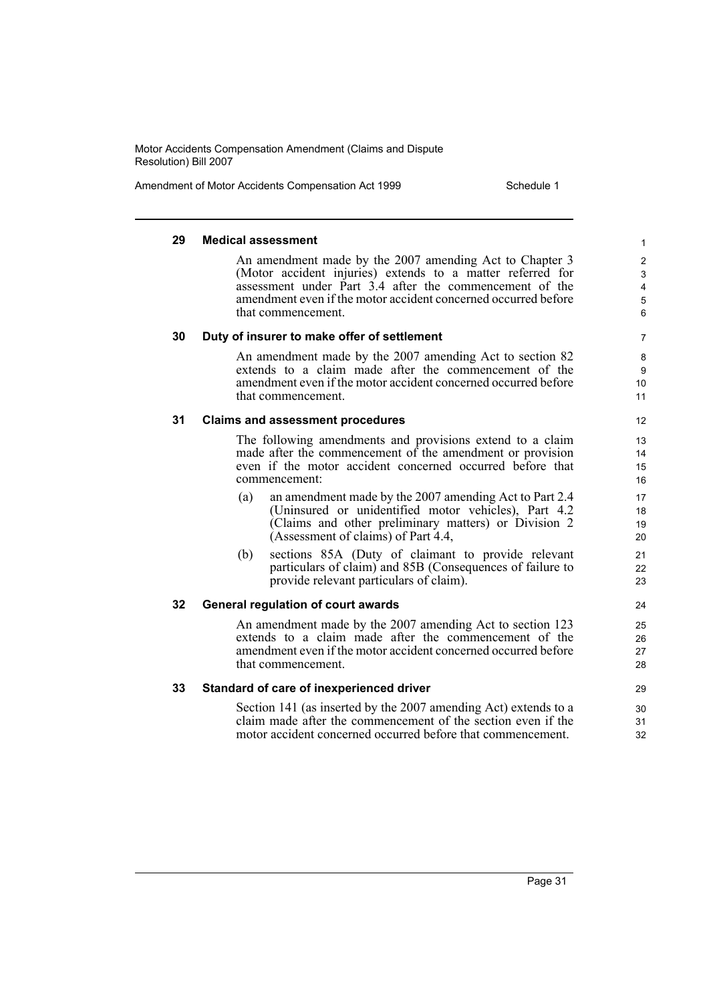Amendment of Motor Accidents Compensation Act 1999 Schedule 1

#### **29 Medical assessment**

An amendment made by the 2007 amending Act to Chapter 3 (Motor accident injuries) extends to a matter referred for assessment under Part 3.4 after the commencement of the amendment even if the motor accident concerned occurred before that commencement.

#### **30 Duty of insurer to make offer of settlement**

An amendment made by the 2007 amending Act to section 82 extends to a claim made after the commencement of the amendment even if the motor accident concerned occurred before that commencement.

#### **31 Claims and assessment procedures**

The following amendments and provisions extend to a claim made after the commencement of the amendment or provision even if the motor accident concerned occurred before that commencement:

- (a) an amendment made by the 2007 amending Act to Part 2.4 (Uninsured or unidentified motor vehicles), Part 4.2 (Claims and other preliminary matters) or Division 2 (Assessment of claims) of Part 4.4,
- (b) sections 85A (Duty of claimant to provide relevant particulars of claim) and 85B (Consequences of failure to provide relevant particulars of claim).

#### **32 General regulation of court awards**

An amendment made by the 2007 amending Act to section 123 extends to a claim made after the commencement of the amendment even if the motor accident concerned occurred before that commencement.

#### **33 Standard of care of inexperienced driver**

Section 141 (as inserted by the 2007 amending Act) extends to a claim made after the commencement of the section even if the motor accident concerned occurred before that commencement.